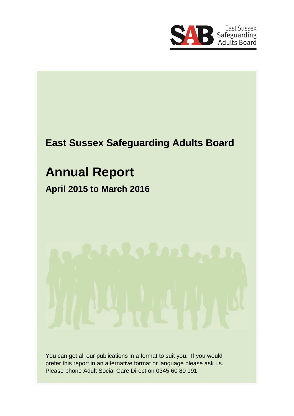

# **East Sussex Safeguarding Adults Board**

# **Annual Report**

# **April 2015 to March 2016**

You can get all our publications in a format to suit you. If you would prefer this report in an alternative format or language please ask us. Please phone Adult Social Care Direct on 0345 60 80 191.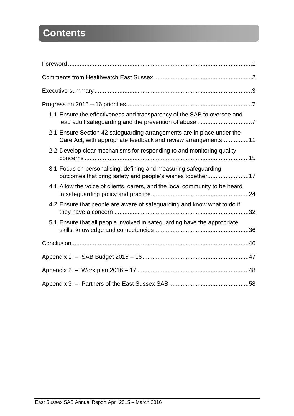# **Contents**

| 1.1 Ensure the effectiveness and transparency of the SAB to oversee and                                                                 |
|-----------------------------------------------------------------------------------------------------------------------------------------|
| 2.1 Ensure Section 42 safeguarding arrangements are in place under the<br>Care Act, with appropriate feedback and review arrangements11 |
| 2.2 Develop clear mechanisms for responding to and monitoring quality                                                                   |
| 3.1 Focus on personalising, defining and measuring safeguarding<br>outcomes that bring safety and people's wishes together17            |
| 4.1 Allow the voice of clients, carers, and the local community to be heard                                                             |
| 4.2 Ensure that people are aware of safeguarding and know what to do if                                                                 |
| 5.1 Ensure that all people involved in safeguarding have the appropriate                                                                |
|                                                                                                                                         |
|                                                                                                                                         |
|                                                                                                                                         |
|                                                                                                                                         |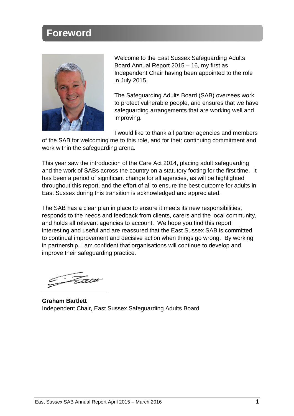## **Foreword**



Welcome to the East Sussex Safeguarding Adults Board Annual Report 2015 – 16, my first as Independent Chair having been appointed to the role in July 2015.

The Safeguarding Adults Board (SAB) oversees work to protect vulnerable people, and ensures that we have safeguarding arrangements that are working well and improving.

I would like to thank all partner agencies and members

of the SAB for welcoming me to this role, and for their continuing commitment and work within the safeguarding arena.

This year saw the introduction of the Care Act 2014, placing adult safeguarding and the work of SABs across the country on a statutory footing for the first time. It has been a period of significant change for all agencies, as will be highlighted throughout this report, and the effort of all to ensure the best outcome for adults in East Sussex during this transition is acknowledged and appreciated.

The SAB has a clear plan in place to ensure it meets its new responsibilities, responds to the needs and feedback from clients, carers and the local community, and holds all relevant agencies to account. We hope you find this report interesting and useful and are reassured that the East Sussex SAB is committed to continual improvement and decisive action when things go wrong. By working in partnership, I am confident that organisations will continue to develop and improve their safeguarding practice.

<u> Fa</u>a

**Graham Bartlett** Independent Chair, East Sussex Safeguarding Adults Board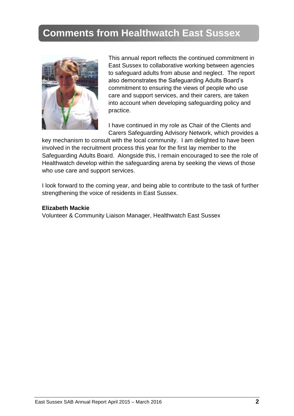# **Comments from Healthwatch East Sussex**



This annual report reflects the continued commitment in East Sussex to collaborative working between agencies to safeguard adults from abuse and neglect. The report also demonstrates the Safeguarding Adults Board's commitment to ensuring the views of people who use care and support services, and their carers, are taken into account when developing safeguarding policy and practice.

I have continued in my role as Chair of the Clients and Carers Safeguarding Advisory Network, which provides a

key mechanism to consult with the local community. I am delighted to have been involved in the recruitment process this year for the first lay member to the Safeguarding Adults Board. Alongside this, I remain encouraged to see the role of Healthwatch develop within the safeguarding arena by seeking the views of those who use care and support services.

I look forward to the coming year, and being able to contribute to the task of further strengthening the voice of residents in East Sussex.

#### **Elizabeth Mackie**

Volunteer & Community Liaison Manager, Healthwatch East Sussex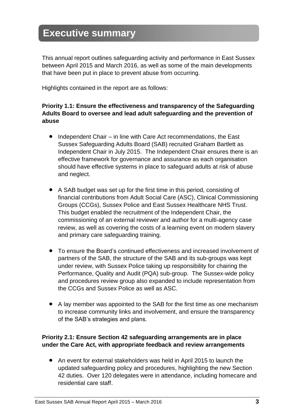## **Executive summary**

This annual report outlines safeguarding activity and performance in East Sussex between April 2015 and March 2016, as well as some of the main developments that have been put in place to prevent abuse from occurring.

Highlights contained in the report are as follows:

#### **Priority 1.1: Ensure the effectiveness and transparency of the Safeguarding Adults Board to oversee and lead adult safeguarding and the prevention of abuse**

- Independent Chair in line with Care Act recommendations, the East Sussex Safeguarding Adults Board (SAB) recruited Graham Bartlett as Independent Chair in July 2015. The Independent Chair ensures there is an effective framework for governance and assurance as each organisation should have effective systems in place to safeguard adults at risk of abuse and neglect.
- A SAB budget was set up for the first time in this period, consisting of financial contributions from Adult Social Care (ASC), Clinical Commissioning Groups (CCGs), Sussex Police and East Sussex Healthcare NHS Trust. This budget enabled the recruitment of the Independent Chair, the commissioning of an external reviewer and author for a multi-agency case review, as well as covering the costs of a learning event on modern slavery and primary care safeguarding training.
- To ensure the Board's continued effectiveness and increased involvement of partners of the SAB, the structure of the SAB and its sub-groups was kept under review, with Sussex Police taking up responsibility for chairing the Performance, Quality and Audit (PQA) sub-group. The Sussex-wide policy and procedures review group also expanded to include representation from the CCGs and Sussex Police as well as ASC.
- A lay member was appointed to the SAB for the first time as one mechanism to increase community links and involvement, and ensure the transparency of the SAB's strategies and plans.

#### **Priority 2.1: Ensure Section 42 safeguarding arrangements are in place under the Care Act, with appropriate feedback and review arrangements**

 An event for external stakeholders was held in April 2015 to launch the updated safeguarding policy and procedures, highlighting the new Section 42 duties. Over 120 delegates were in attendance, including homecare and residential care staff.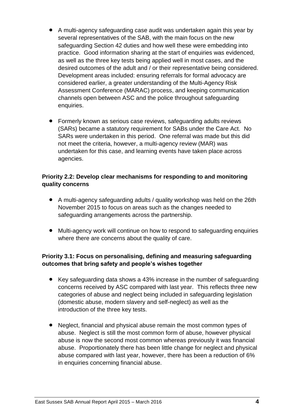- A multi-agency safeguarding case audit was undertaken again this year by several representatives of the SAB, with the main focus on the new safeguarding Section 42 duties and how well these were embedding into practice. Good information sharing at the start of enquiries was evidenced, as well as the three key tests being applied well in most cases, and the desired outcomes of the adult and / or their representative being considered. Development areas included: ensuring referrals for formal advocacy are considered earlier, a greater understanding of the Multi-Agency Risk Assessment Conference (MARAC) process, and keeping communication channels open between ASC and the police throughout safeguarding enquiries.
- Formerly known as serious case reviews, safeguarding adults reviews (SARs) became a statutory requirement for SABs under the Care Act. No SARs were undertaken in this period. One referral was made but this did not meet the criteria, however, a multi-agency review (MAR) was undertaken for this case, and learning events have taken place across agencies.

#### **Priority 2.2: Develop clear mechanisms for responding to and monitoring quality concerns**

- A multi-agency safeguarding adults / quality workshop was held on the 26th November 2015 to focus on areas such as the changes needed to safeguarding arrangements across the partnership.
- Multi-agency work will continue on how to respond to safeguarding enquiries where there are concerns about the quality of care.

#### **Priority 3.1: Focus on personalising, defining and measuring safeguarding outcomes that bring safety and people's wishes together**

- Key safeguarding data shows a 43% increase in the number of safeguarding concerns received by ASC compared with last year. This reflects three new categories of abuse and neglect being included in safeguarding legislation (domestic abuse, modern slavery and self-neglect) as well as the introduction of the three key tests.
- Neglect, financial and physical abuse remain the most common types of abuse. Neglect is still the most common form of abuse, however physical abuse is now the second most common whereas previously it was financial abuse. Proportionately there has been little change for neglect and physical abuse compared with last year, however, there has been a reduction of 6% in enquiries concerning financial abuse.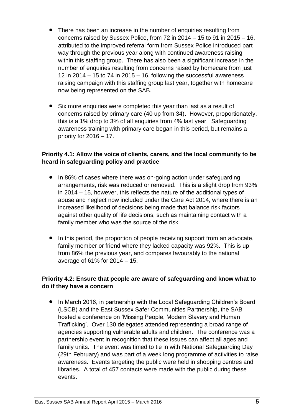- There has been an increase in the number of enquiries resulting from concerns raised by Sussex Police, from 72 in 2014 – 15 to 91 in 2015 – 16, attributed to the improved referral form from Sussex Police introduced part way through the previous year along with continued awareness raising within this staffing group. There has also been a significant increase in the number of enquiries resulting from concerns raised by homecare from just 12 in 2014 – 15 to 74 in 2015 – 16, following the successful awareness raising campaign with this staffing group last year, together with homecare now being represented on the SAB.
- Six more enquiries were completed this year than last as a result of concerns raised by primary care (40 up from 34). However, proportionately, this is a 1% drop to 3% of all enquiries from 4% last year. Safeguarding awareness training with primary care began in this period, but remains a priority for 2016 – 17.

#### **Priority 4.1: Allow the voice of clients, carers, and the local community to be heard in safeguarding policy and practice**

- In 86% of cases where there was on-going action under safeguarding arrangements, risk was reduced or removed. This is a slight drop from 93% in 2014 – 15, however, this reflects the nature of the additional types of abuse and neglect now included under the Care Act 2014, where there is an increased likelihood of decisions being made that balance risk factors against other quality of life decisions, such as maintaining contact with a family member who was the source of the risk.
- In this period, the proportion of people receiving support from an advocate, family member or friend where they lacked capacity was 92%. This is up from 86% the previous year, and compares favourably to the national average of 61% for 2014 – 15.

#### **Priority 4.2: Ensure that people are aware of safeguarding and know what to do if they have a concern**

• In March 2016, in partnership with the Local Safeguarding Children's Board (LSCB) and the East Sussex Safer Communities Partnership, the SAB hosted a conference on 'Missing People, Modern Slavery and Human Trafficking'. Over 130 delegates attended representing a broad range of agencies supporting vulnerable adults and children. The conference was a partnership event in recognition that these issues can affect all ages and family units. The event was timed to tie in with National Safeguarding Day (29th February) and was part of a week long programme of activities to raise awareness. Events targeting the public were held in shopping centres and libraries. A total of 457 contacts were made with the public during these events.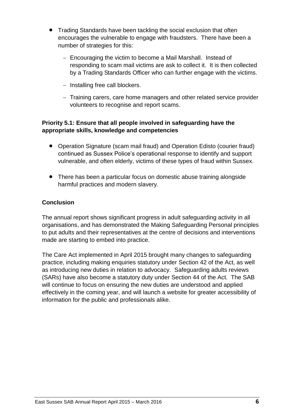- Trading Standards have been tackling the social exclusion that often encourages the vulnerable to engage with fraudsters. There have been a number of strategies for this:
	- Encouraging the victim to become a Mail Marshall. Instead of responding to scam mail victims are ask to collect it. It is then collected by a Trading Standards Officer who can further engage with the victims.
	- $-$  Installing free call blockers.
	- Training carers, care home managers and other related service provider volunteers to recognise and report scams.

#### **Priority 5.1: Ensure that all people involved in safeguarding have the appropriate skills, knowledge and competencies**

- Operation Signature (scam mail fraud) and Operation Edisto (courier fraud) continued as Sussex Police's operational response to identify and support vulnerable, and often elderly, victims of these types of fraud within Sussex.
- There has been a particular focus on domestic abuse training alongside harmful practices and modern slavery.

#### **Conclusion**

The annual report shows significant progress in adult safeguarding activity in all organisations, and has demonstrated the Making Safeguarding Personal principles to put adults and their representatives at the centre of decisions and interventions made are starting to embed into practice.

The Care Act implemented in April 2015 brought many changes to safeguarding practice, including making enquiries statutory under Section 42 of the Act, as well as introducing new duties in relation to advocacy. Safeguarding adults reviews (SARs) have also become a statutory duty under Section 44 of the Act. The SAB will continue to focus on ensuring the new duties are understood and applied effectively in the coming year, and will launch a website for greater accessibility of information for the public and professionals alike.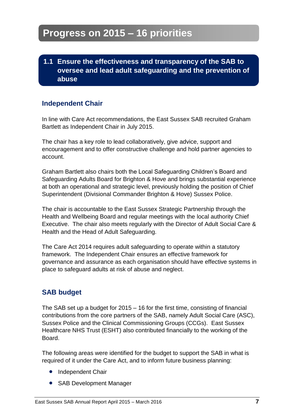**1.1 Ensure the effectiveness and transparency of the SAB to oversee and lead adult safeguarding and the prevention of abuse**

### **Independent Chair**

In line with Care Act recommendations, the East Sussex SAB recruited Graham Bartlett as Independent Chair in July 2015.

The chair has a key role to lead collaboratively, give advice, support and encouragement and to offer constructive challenge and hold partner agencies to account.

Graham Bartlett also chairs both the Local Safeguarding Children's Board and Safeguarding Adults Board for Brighton & Hove and brings substantial experience at both an operational and strategic level, previously holding the position of Chief Superintendent (Divisional Commander Brighton & Hove) Sussex Police.

The chair is accountable to the East Sussex Strategic Partnership through the Health and Wellbeing Board and regular meetings with the local authority Chief Executive. The chair also meets regularly with the Director of Adult Social Care & Health and the Head of Adult Safeguarding.

The Care Act 2014 requires adult safeguarding to operate within a statutory framework. The Independent Chair ensures an effective framework for governance and assurance as each organisation should have effective systems in place to safeguard adults at risk of abuse and neglect.

### **SAB budget**

The SAB set up a budget for 2015 – 16 for the first time, consisting of financial contributions from the core partners of the SAB, namely Adult Social Care (ASC), Sussex Police and the Clinical Commissioning Groups (CCGs). East Sussex Healthcare NHS Trust (ESHT) also contributed financially to the working of the Board.

The following areas were identified for the budget to support the SAB in what is required of it under the Care Act, and to inform future business planning:

- Independent Chair
- SAB Development Manager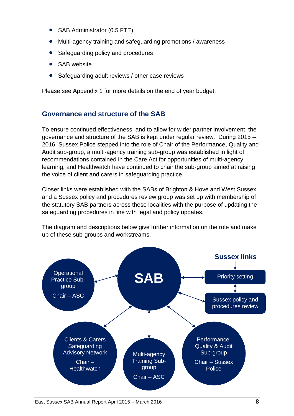- SAB Administrator (0.5 FTE)
- Multi-agency training and safeguarding promotions / awareness
- Safeguarding policy and procedures
- SAB website
- Safeguarding adult reviews / other case reviews

Please see Appendix 1 for more details on the end of year budget.

#### **Governance and structure of the SAB**

To ensure continued effectiveness, and to allow for wider partner involvement, the governance and structure of the SAB is kept under regular review. During 2015 – 2016, Sussex Police stepped into the role of Chair of the Performance, Quality and Audit sub-group, a multi-agency training sub-group was established in light of recommendations contained in the Care Act for opportunities of multi-agency learning, and Healthwatch have continued to chair the sub-group aimed at raising the voice of client and carers in safeguarding practice.

Closer links were established with the SABs of Brighton & Hove and West Sussex, and a Sussex policy and procedures review group was set up with membership of the statutory SAB partners across these localities with the purpose of updating the safeguarding procedures in line with legal and policy updates.

The diagram and descriptions below give further information on the role and make up of these sub-groups and workstreams.

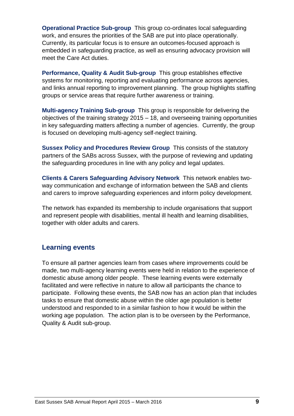**Operational Practice Sub-group** This group co-ordinates local safeguarding work, and ensures the priorities of the SAB are put into place operationally. Currently, its particular focus is to ensure an outcomes-focused approach is embedded in safeguarding practice, as well as ensuring advocacy provision will meet the Care Act duties.

**Performance, Quality & Audit Sub-group** This group establishes effective systems for monitoring, reporting and evaluating performance across agencies, and links annual reporting to improvement planning. The group highlights staffing groups or service areas that require further awareness or training.

**Multi-agency Training Sub-group** This group is responsible for delivering the objectives of the training strategy 2015 – 18, and overseeing training opportunities in key safeguarding matters affecting a number of agencies. Currently, the group is focused on developing multi-agency self-neglect training.

**Sussex Policy and Procedures Review Group** This consists of the statutory partners of the SABs across Sussex, with the purpose of reviewing and updating the safeguarding procedures in line with any policy and legal updates.

**Clients & Carers Safeguarding Advisory Network** This network enables twoway communication and exchange of information between the SAB and clients and carers to improve safeguarding experiences and inform policy development.

The network has expanded its membership to include organisations that support and represent people with disabilities, mental ill health and learning disabilities, together with older adults and carers.

#### **Learning events**

To ensure all partner agencies learn from cases where improvements could be made, two multi-agency learning events were held in relation to the experience of domestic abuse among older people. These learning events were externally facilitated and were reflective in nature to allow all participants the chance to participate. Following these events, the SAB now has an action plan that includes tasks to ensure that domestic abuse within the older age population is better understood and responded to in a similar fashion to how it would be within the working age population. The action plan is to be overseen by the Performance, Quality & Audit sub-group.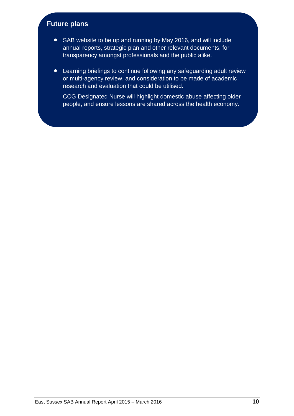### **Future plans**

- SAB website to be up and running by May 2016, and will include annual reports, strategic plan and other relevant documents, for transparency amongst professionals and the public alike.
- Learning briefings to continue following any safeguarding adult review or multi-agency review, and consideration to be made of academic research and evaluation that could be utilised.

CCG Designated Nurse will highlight domestic abuse affecting older people, and ensure lessons are shared across the health economy.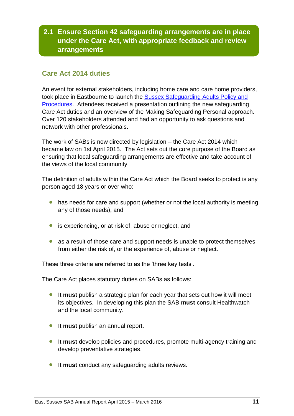### **2.1 Ensure Section 42 safeguarding arrangements are in place under the Care Act, with appropriate feedback and review arrangements**

### **Care Act 2014 duties**

An event for external stakeholders, including home care and care home providers, took place in Eastbourne to launch the [Sussex Safeguarding Adults Policy and](http://sussexsafeguardingadults.procedures.org.uk/)  [Procedures.](http://sussexsafeguardingadults.procedures.org.uk/) Attendees received a presentation outlining the new safeguarding Care Act duties and an overview of the Making Safeguarding Personal approach. Over 120 stakeholders attended and had an opportunity to ask questions and network with other professionals.

The work of SABs is now directed by legislation – the Care Act 2014 which became law on 1st April 2015. The Act sets out the core purpose of the Board as ensuring that local safeguarding arrangements are effective and take account of the views of the local community.

The definition of adults within the Care Act which the Board seeks to protect is any person aged 18 years or over who:

- has needs for care and support (whether or not the local authority is meeting any of those needs), and
- is experiencing, or at risk of, abuse or neglect, and
- as a result of those care and support needs is unable to protect themselves from either the risk of, or the experience of, abuse or neglect.

These three criteria are referred to as the 'three key tests'.

The Care Act places statutory duties on SABs as follows:

- It **must** publish a strategic plan for each year that sets out how it will meet its objectives. In developing this plan the SAB **must** consult Healthwatch and the local community.
- **It must** publish an annual report.
- It **must** develop policies and procedures, promote multi-agency training and develop preventative strategies.
- **It must** conduct any safeguarding adults reviews.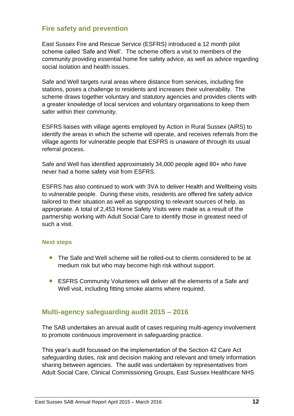#### **Fire safety and prevention**

East Sussex Fire and Rescue Service (ESFRS) introduced a 12 month pilot scheme called 'Safe and Well'. The scheme offers a visit to members of the community providing essential home fire safety advice, as well as advice regarding social isolation and health issues.

Safe and Well targets rural areas where distance from services, including fire stations, poses a challenge to residents and increases their vulnerability. The scheme draws together voluntary and statutory agencies and provides clients with a greater knowledge of local services and voluntary organisations to keep them safer within their community.

ESFRS liaises with village agents employed by Action in Rural Sussex (AiRS) to identify the areas in which the scheme will operate, and receives referrals from the village agents for vulnerable people that ESFRS is unaware of through its usual referral process.

Safe and Well has identified approximately 34,000 people aged 80+ who have never had a home safety visit from ESFRS.

ESFRS has also continued to work with 3VA to deliver Health and Wellbeing visits to vulnerable people. During these visits, residents are offered fire safety advice tailored to their situation as well as signposting to relevant sources of help, as appropriate. A total of 2,453 Home Safety Visits were made as a result of the partnership working with Adult Social Care to identify those in greatest need of such a visit.

#### **Next steps**

- The Safe and Well scheme will be rolled-out to clients considered to be at medium risk but who may become high risk without support.
- ESFRS Community Volunteers will deliver all the elements of a Safe and Well visit, including fitting smoke alarms where required.

#### **Multi-agency safeguarding audit 2015 – 2016**

The SAB undertakes an annual audit of cases requiring multi-agency involvement to promote continuous improvement in safeguarding practice.

This year's audit focussed on the implementation of the Section 42 Care Act safeguarding duties, risk and decision making and relevant and timely information sharing between agencies. The audit was undertaken by representatives from Adult Social Care, Clinical Commissioning Groups, East Sussex Healthcare NHS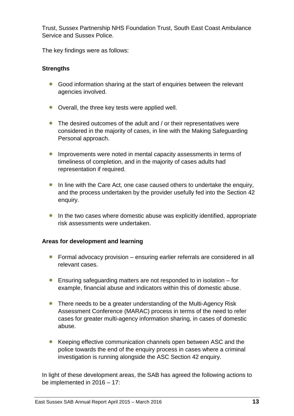Trust, Sussex Partnership NHS Foundation Trust, South East Coast Ambulance Service and Sussex Police.

The key findings were as follows:

#### **Strengths**

- Good information sharing at the start of enquiries between the relevant agencies involved.
- Overall, the three key tests were applied well.
- The desired outcomes of the adult and / or their representatives were considered in the majority of cases, in line with the Making Safeguarding Personal approach.
- **Improvements were noted in mental capacity assessments in terms of** timeliness of completion, and in the majority of cases adults had representation if required.
- In line with the Care Act, one case caused others to undertake the enquiry, and the process undertaken by the provider usefully fed into the Section 42 enquiry.
- In the two cases where domestic abuse was explicitly identified, appropriate risk assessments were undertaken.

#### **Areas for development and learning**

- Formal advocacy provision ensuring earlier referrals are considered in all relevant cases.
- Ensuring safeguarding matters are not responded to in isolation for example, financial abuse and indicators within this of domestic abuse.
- There needs to be a greater understanding of the Multi-Agency Risk Assessment Conference (MARAC) process in terms of the need to refer cases for greater multi-agency information sharing, in cases of domestic abuse.
- Keeping effective communication channels open between ASC and the police towards the end of the enquiry process in cases where a criminal investigation is running alongside the ASC Section 42 enquiry.

In light of these development areas, the SAB has agreed the following actions to be implemented in 2016 – 17: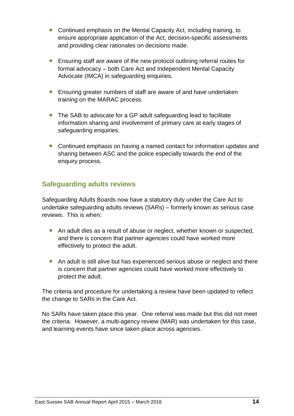- Continued emphasis on the Mental Capacity Act, including training, to ensure appropriate application of the Act, decision-specific assessments and providing clear rationales on decisions made.
- Ensuring staff are aware of the new protocol outlining referral routes for formal advocacy – both Care Act and Independent Mental Capacity Advocate (IMCA) in safeguarding enquiries.
- Ensuring greater numbers of staff are aware of and have undertaken training on the MARAC process.
- The SAB to advocate for a GP adult safeguarding lead to facilitate information sharing and involvement of primary care at early stages of safeguarding enquiries.
- Continued emphasis on having a named contact for information updates and sharing between ASC and the police especially towards the end of the enquiry process.

### **Safeguarding adults reviews**

Safeguarding Adults Boards now have a statutory duty under the Care Act to undertake safeguarding adults reviews (SARs) – formerly known as serious case reviews. This is when:

- An adult dies as a result of abuse or neglect, whether known or suspected, and there is concern that partner agencies could have worked more effectively to protect the adult.
- An adult is still alive but has experienced serious abuse or neglect and there is concern that partner agencies could have worked more effectively to protect the adult.

The criteria and procedure for undertaking a review have been updated to reflect the change to SARs in the Care Act.

No SARs have taken place this year. One referral was made but this did not meet the criteria. However, a multi-agency review (MAR) was undertaken for this case, and learning events have since taken place across agencies.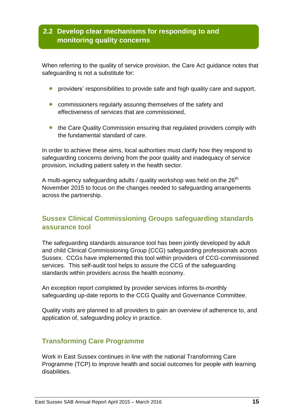### **2.2 Develop clear mechanisms for responding to and monitoring quality concerns**

When referring to the quality of service provision, the Care Act guidance notes that safeguarding is not a substitute for:

- **•** providers' responsibilities to provide safe and high quality care and support,
- **•** commissioners regularly assuring themselves of the safety and effectiveness of services that are commissioned,
- the Care Quality Commission ensuring that regulated providers comply with the fundamental standard of care.

In order to achieve these aims, local authorities must clarify how they respond to safeguarding concerns deriving from the poor quality and inadequacy of service provision, including patient safety in the health sector.

A multi-agency safeguarding adults / quality workshop was held on the  $26<sup>th</sup>$ November 2015 to focus on the changes needed to safeguarding arrangements across the partnership.

### **Sussex Clinical Commissioning Groups safeguarding standards assurance tool**

The safeguarding standards assurance tool has been jointly developed by adult and child Clinical Commissioning Group (CCG) safeguarding professionals across Sussex. CCGs have implemented this tool within providers of CCG-commissioned services. This self-audit tool helps to assure the CCG of the safeguarding standards within providers across the health economy.

An exception report completed by provider services informs bi-monthly safeguarding up-date reports to the CCG Quality and Governance Committee.

Quality visits are planned to all providers to gain an overview of adherence to, and application of, safeguarding policy in practice.

#### **Transforming Care Programme**

Work in East Sussex continues in line with the national Transforming Care Programme (TCP) to improve health and social outcomes for people with learning disabilities.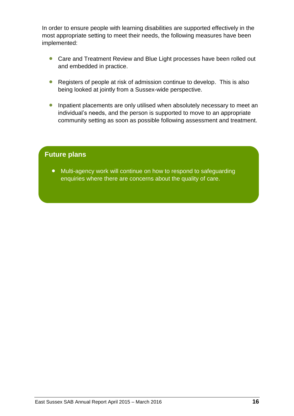In order to ensure people with learning disabilities are supported effectively in the most appropriate setting to meet their needs, the following measures have been implemented:

- Care and Treatment Review and Blue Light processes have been rolled out and embedded in practice.
- Registers of people at risk of admission continue to develop. This is also being looked at jointly from a Sussex-wide perspective.
- **•** Inpatient placements are only utilised when absolutely necessary to meet an individual's needs, and the person is supported to move to an appropriate community setting as soon as possible following assessment and treatment.

#### **Future plans**

 Multi-agency work will continue on how to respond to safeguarding enquiries where there are concerns about the quality of care.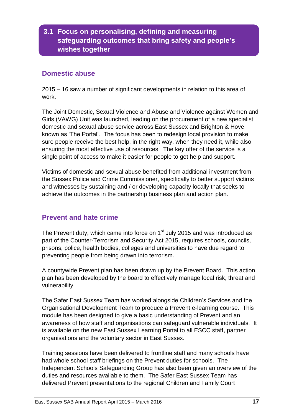### **3.1 Focus on personalising, defining and measuring safeguarding outcomes that bring safety and people's wishes together**

#### **Domestic abuse**

2015 – 16 saw a number of significant developments in relation to this area of work.

The Joint Domestic, Sexual Violence and Abuse and Violence against Women and Girls (VAWG) Unit was launched, leading on the procurement of a new specialist domestic and sexual abuse service across East Sussex and Brighton & Hove known as 'The Portal'. The focus has been to redesign local provision to make sure people receive the best help, in the right way, when they need it, while also ensuring the most effective use of resources. The key offer of the service is a single point of access to make it easier for people to get help and support.

Victims of domestic and sexual abuse benefited from additional investment from the Sussex Police and Crime Commissioner, specifically to better support victims and witnesses by sustaining and / or developing capacity locally that seeks to achieve the outcomes in the partnership business plan and action plan.

#### **Prevent and hate crime**

The Prevent duty, which came into force on  $1<sup>st</sup>$  July 2015 and was introduced as part of the Counter-Terrorism and Security Act 2015, requires schools, councils, prisons, police, health bodies, colleges and universities to have due regard to preventing people from being drawn into terrorism.

A countywide Prevent plan has been drawn up by the Prevent Board. This action plan has been developed by the board to effectively manage local risk, threat and vulnerability.

The Safer East Sussex Team has worked alongside Children's Services and the Organisational Development Team to produce a Prevent e-learning course. This module has been designed to give a basic understanding of Prevent and an awareness of how staff and organisations can safeguard vulnerable individuals. It is available on the new East Sussex Learning Portal to all ESCC staff, partner organisations and the voluntary sector in East Sussex.

Training sessions have been delivered to frontline staff and many schools have had whole school staff briefings on the Prevent duties for schools. The Independent Schools Safeguarding Group has also been given an overview of the duties and resources available to them. The Safer East Sussex Team has delivered Prevent presentations to the regional Children and Family Court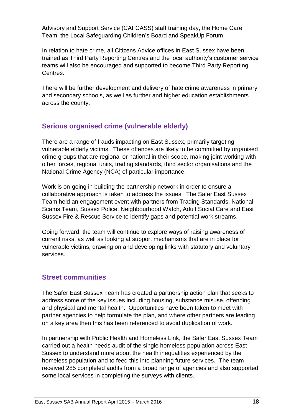Advisory and Support Service (CAFCASS) staff training day, the Home Care Team, the Local Safeguarding Children's Board and SpeakUp Forum.

In relation to hate crime, all Citizens Advice offices in East Sussex have been trained as Third Party Reporting Centres and the local authority's customer service teams will also be encouraged and supported to become Third Party Reporting Centres.

There will be further development and delivery of hate crime awareness in primary and secondary schools, as well as further and higher education establishments across the county.

### **Serious organised crime (vulnerable elderly)**

There are a range of frauds impacting on East Sussex, primarily targeting vulnerable elderly victims. These offences are likely to be committed by organised crime groups that are regional or national in their scope, making joint working with other forces, regional units, trading standards, third sector organisations and the National Crime Agency (NCA) of particular importance.

Work is on-going in building the partnership network in order to ensure a collaborative approach is taken to address the issues. The Safer East Sussex Team held an engagement event with partners from Trading Standards, National Scams Team, Sussex Police, Neighbourhood Watch, Adult Social Care and East Sussex Fire & Rescue Service to identify gaps and potential work streams.

Going forward, the team will continue to explore ways of raising awareness of current risks, as well as looking at support mechanisms that are in place for vulnerable victims, drawing on and developing links with statutory and voluntary services.

#### **Street communities**

The Safer East Sussex Team has created a partnership action plan that seeks to address some of the key issues including housing, substance misuse, offending and physical and mental health. Opportunities have been taken to meet with partner agencies to help formulate the plan, and where other partners are leading on a key area then this has been referenced to avoid duplication of work.

In partnership with Public Health and Homeless Link, the Safer East Sussex Team carried out a health needs audit of the single homeless population across East Sussex to understand more about the health inequalities experienced by the homeless population and to feed this into planning future services. The team received 285 completed audits from a broad range of agencies and also supported some local services in completing the surveys with clients.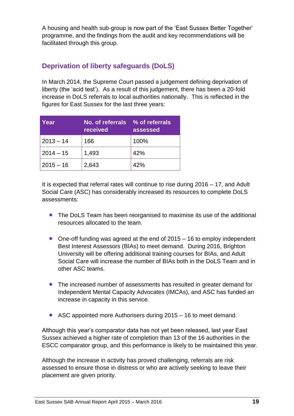A housing and health sub-group is now part of the 'East Sussex Better Together' programme, and the findings from the audit and key recommendations will be facilitated through this group.

### **Deprivation of liberty safeguards (DoLS)**

In March 2014, the Supreme Court passed a judgement defining deprivation of liberty (the 'acid test'). As a result of this judgement, there has been a 20-fold increase in DoLS referrals to local authorities nationally. This is reflected in the figures for East Sussex for the last three years:

| Year        | No. of referrals % of referrals<br>received | assessed |
|-------------|---------------------------------------------|----------|
| $2013 - 14$ | 166                                         | 100%     |
| $2014 - 15$ | 1,493                                       | 42%      |
| $2015 - 16$ | 2,643                                       | 42%      |

It is expected that referral rates will continue to rise during 2016 – 17, and Adult Social Care (ASC) has considerably increased its resources to complete DoLS assessments:

- The DoLS Team has been reorganised to maximise its use of the additional resources allocated to the team.
- One-off funding was agreed at the end of 2015 16 to employ independent Best Interest Assessors (BIAs) to meet demand. During 2016, Brighton University will be offering additional training courses for BIAs, and Adult Social Care will increase the number of BIAs both in the DoLS Team and in other ASC teams.
- The increased number of assessments has resulted in greater demand for Independent Mental Capacity Advocates (IMCAs), and ASC has funded an increase in capacity in this service.
- ASC appointed more Authorisers during 2015 16 to meet demand.

Although this year's comparator data has not yet been released, last year East Sussex achieved a higher rate of completion than 13 of the 16 authorities in the ESCC comparator group, and this performance is likely to be maintained this year.

Although the increase in activity has proved challenging, referrals are risk assessed to ensure those in distress or who are actively seeking to leave their placement are given priority.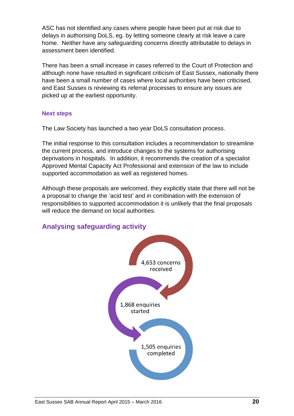ASC has not identified any cases where people have been put at risk due to delays in authorising DoLS, eg. by letting someone clearly at risk leave a care home. Neither have any safeguarding concerns directly attributable to delays in assessment been identified.

There has been a small increase in cases referred to the Court of Protection and although none have resulted in significant criticism of East Sussex, nationally there have been a small number of cases where local authorities have been criticised, and East Sussex is reviewing its referral processes to ensure any issues are picked up at the earliest opportunity.

#### **Next steps**

The Law Society has launched a two year DoLS consultation process.

The initial response to this consultation includes a recommendation to streamline the current process, and introduce changes to the systems for authorising deprivations in hospitals. In addition, it recommends the creation of a specialist Approved Mental Capacity Act Professional and extension of the law to include supported accommodation as well as registered homes.

Although these proposals are welcomed, they explicitly state that there will not be a proposal to change the 'acid test' and in combination with the extension of responsibilities to supported accommodation it is unlikely that the final proposals will reduce the demand on local authorities.

### **Analysing safeguarding activity**

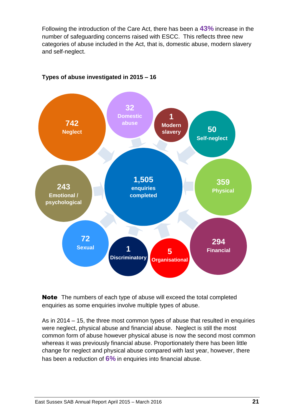Following the introduction of the Care Act, there has been a **43%** increase in the number of safeguarding concerns raised with ESCC. This reflects three new categories of abuse included in the Act, that is, domestic abuse, modern slavery and self-neglect.



#### **Types of abuse investigated in 2015 – 16**<sup>1</sup>

Note The numbers of each type of abuse will exceed the total completed enquiries as some enquiries involve multiple types of abuse.

As in 2014 – 15, the three most common types of abuse that resulted in enquiries were neglect, physical abuse and financial abuse. Neglect is still the most common form of abuse however physical abuse is now the second most common whereas it was previously financial abuse. Proportionately there has been little change for neglect and physical abuse compared with last year, however, there has been a reduction of **6%** in enquiries into financial abuse.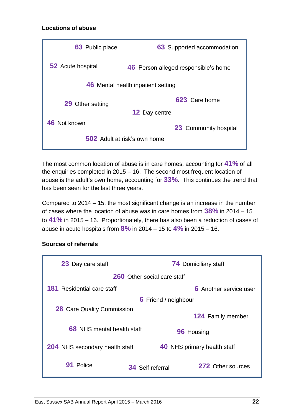#### **Locations of abuse**

| 63 Public place          | <b>63</b> Supported accommodation    |
|--------------------------|--------------------------------------|
| <b>52</b> Acute hospital | 46 Person alleged responsible's home |
|                          | 46 Mental health inpatient setting   |
| 29 Other setting         | 623 Care home                        |
|                          | <b>12 Day centre</b>                 |
| 46 Not known             | <b>23</b> Community hospital         |
|                          | <b>502</b> Adult at risk's own home  |

The most common location of abuse is in care homes, accounting for **41%** of all the enquiries completed in 2015 – 16. The second most frequent location of abuse is the adult's own home, accounting for **33%**. This continues the trend that has been seen for the last three years.

Compared to 2014 – 15, the most significant change is an increase in the number of cases where the location of abuse was in care homes from **38%** in 2014 – 15 to **41%** in 2015 – 16. Proportionately, there has also been a reduction of cases of abuse in acute hospitals from **8%** in 2014 – 15 to **4%** in 2015 – 16.

#### **Sources of referrals**

| 23 Day care staff                     | <b>74 Domiciliary staff</b> |                                    |  |
|---------------------------------------|-----------------------------|------------------------------------|--|
| <b>260</b> Other social care staff    |                             |                                    |  |
| <b>181</b> Residential care staff     |                             | <b>6</b> Another service user      |  |
|                                       | <b>6</b> Friend / neighbour |                                    |  |
| <b>28</b> Care Quality Commission     |                             |                                    |  |
|                                       |                             | <b>124 Family member</b>           |  |
| <b>68</b> NHS mental health staff     |                             | 96 Housing                         |  |
| <b>204</b> NHS secondary health staff |                             | <b>40 NHS primary health staff</b> |  |
| Police                                | <b>34</b> Self referral     | 272 Other sources                  |  |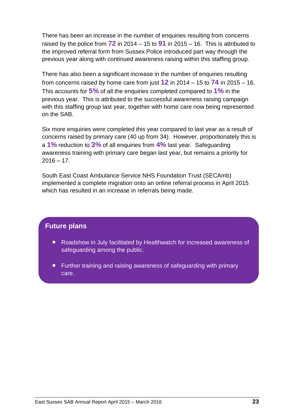There has been an increase in the number of enquiries resulting from concerns raised by the police from **72** in 2014 – 15 to **91** in 2015 – 16. This is attributed to the improved referral form from Sussex Police introduced part way through the previous year along with continued awareness raising within this staffing group.

There has also been a significant increase in the number of enquiries resulting from concerns raised by home care from just **12** in 2014 – 15 to **74** in 2015 – 16. This accounts for **5%** of all the enquiries completed compared to **1%** in the previous year. This is attributed to the successful awareness raising campaign with this staffing group last year, together with home care now being represented on the SAB.

Six more enquiries were completed this year compared to last year as a result of concerns raised by primary care (40 up from 34). However, proportionately this is a **1%** reduction to **3%** of all enquiries from **4%** last year. Safeguarding awareness training with primary care began last year, but remains a priority for  $2016 - 17$ .

South East Coast Ambulance Service NHS Foundation Trust (SECAmb) implemented a complete migration onto an online referral process in April 2015 which has resulted in an increase in referrals being made.

#### **Future plans**

- Roadshow in July facilitated by Healthwatch for increased awareness of safeguarding among the public.
- Further training and raising awareness of safeguarding with primary care.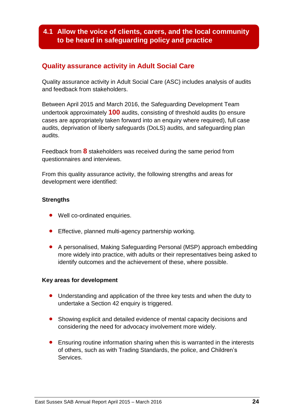### **4.1 Allow the voice of clients, carers, and the local community to be heard in safeguarding policy and practice**

#### **Quality assurance activity in Adult Social Care**

Quality assurance activity in Adult Social Care (ASC) includes analysis of audits and feedback from stakeholders.

Between April 2015 and March 2016, the Safeguarding Development Team undertook approximately **100** audits, consisting of threshold audits (to ensure cases are appropriately taken forward into an enquiry where required), full case audits, deprivation of liberty safeguards (DoLS) audits, and safeguarding plan audits.

Feedback from **8** stakeholders was received during the same period from questionnaires and interviews.

From this quality assurance activity, the following strengths and areas for development were identified:

#### **Strengths**

- Well co-ordinated enquiries.
- **•** Effective, planned multi-agency partnership working.
- A personalised, Making Safeguarding Personal (MSP) approach embedding more widely into practice, with adults or their representatives being asked to identify outcomes and the achievement of these, where possible.

#### **Key areas for development**

- Understanding and application of the three key tests and when the duty to undertake a Section 42 enquiry is triggered.
- Showing explicit and detailed evidence of mental capacity decisions and considering the need for advocacy involvement more widely.
- Ensuring routine information sharing when this is warranted in the interests of others, such as with Trading Standards, the police, and Children's Services.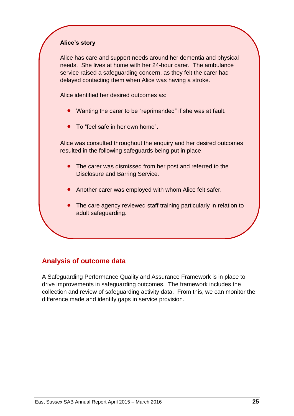#### **Alice's story**

Alice has care and support needs around her dementia and physical needs. She lives at home with her 24-hour carer. The ambulance service raised a safeguarding concern, as they felt the carer had delayed contacting them when Alice was having a stroke.

Alice identified her desired outcomes as:

- Wanting the carer to be "reprimanded" if she was at fault.
- To "feel safe in her own home".

Alice was consulted throughout the enquiry and her desired outcomes resulted in the following safeguards being put in place:

- The carer was dismissed from her post and referred to the Disclosure and Barring Service.
- Another carer was employed with whom Alice felt safer.
- The care agency reviewed staff training particularly in relation to adult safeguarding.

### **Analysis of outcome data**

A Safeguarding Performance Quality and Assurance Framework is in place to drive improvements in safeguarding outcomes. The framework includes the collection and review of safeguarding activity data. From this, we can monitor the difference made and identify gaps in service provision.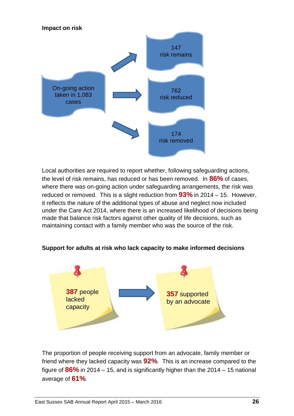

Local authorities are required to report whether, following safeguarding actions, the level of risk remains, has reduced or has been removed. In **86%** of cases, where there was on-going action under safeguarding arrangements, the risk was reduced or removed. This is a slight reduction from **93%** in 2014 – 15. However, it reflects the nature of the additional types of abuse and neglect now included under the Care Act 2014, where there is an increased likelihood of decisions being made that balance risk factors against other quality of life decisions, such as maintaining contact with a family member who was the source of the risk.





The proportion of people receiving support from an advocate, family member or friend where they lacked capacity was **92%**. This is an increase compared to the figure of **86%** in 2014 – 15, and is significantly higher than the 2014 – 15 national average of **61%**.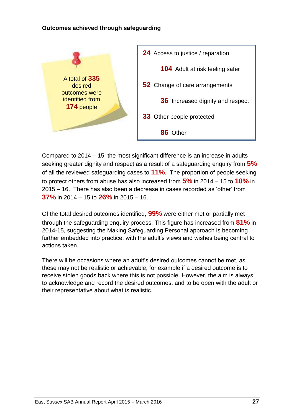#### **Outcomes achieved through safeguarding**



Compared to 2014 – 15, the most significant difference is an increase in adults seeking greater dignity and respect as a result of a safeguarding enquiry from **5%** of all the reviewed safeguarding cases to **11%**. The proportion of people seeking to protect others from abuse has also increased from **5%** in 2014 – 15 to **10%** in 2015 – 16. There has also been a decrease in cases recorded as 'other' from **37%** in 2014 – 15 to **26%** in 2015 – 16.

Of the total desired outcomes identified, **99%** were either met or partially met through the safeguarding enquiry process. This figure has increased from **81%** in 2014-15, suggesting the Making Safeguarding Personal approach is becoming further embedded into practice, with the adult's views and wishes being central to actions taken.

There will be occasions where an adult's desired outcomes cannot be met, as these may not be realistic or achievable, for example if a desired outcome is to receive stolen goods back where this is not possible. However, the aim is always to acknowledge and record the desired outcomes, and to be open with the adult or their representative about what is realistic.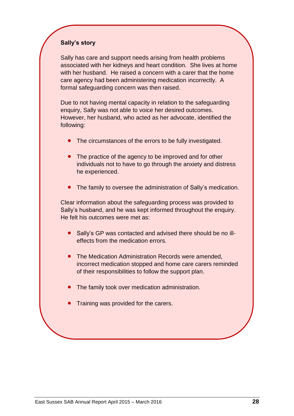#### **Sally's story**

Sally has care and support needs arising from health problems associated with her kidneys and heart condition. She lives at home with her husband. He raised a concern with a carer that the home care agency had been administering medication incorrectly. A formal safeguarding concern was then raised.

Due to not having mental capacity in relation to the safeguarding enquiry, Sally was not able to voice her desired outcomes. However, her husband, who acted as her advocate, identified the following:

- The circumstances of the errors to be fully investigated.
- The practice of the agency to be improved and for other individuals not to have to go through the anxiety and distress he experienced.
- The family to oversee the administration of Sally's medication.

Clear information about the safeguarding process was provided to Sally's husband, and he was kept informed throughout the enquiry. He felt his outcomes were met as:

- Sally's GP was contacted and advised there should be no illeffects from the medication errors.
- The Medication Administration Records were amended. incorrect medication stopped and home care carers reminded of their responsibilities to follow the support plan.
- The family took over medication administration.
- Training was provided for the carers.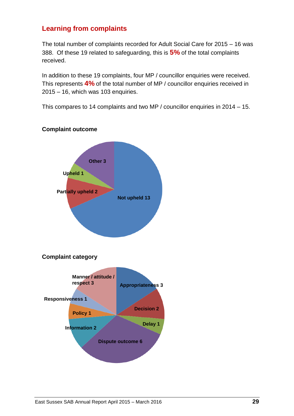### **Learning from complaints**

The total number of complaints recorded for Adult Social Care for 2015 – 16 was 388. Of these 19 related to safeguarding, this is **5%** of the total complaints received.

In addition to these 19 complaints, four MP / councillor enquiries were received. This represents **4%** of the total number of MP / councillor enquiries received in 2015 – 16, which was 103 enquiries.

This compares to 14 complaints and two MP / councillor enquiries in 2014 – 15.

# **Complaint category Manner / attitude / respect 3 Appropriateness 3 Dispute outcome 6 Decision 2 Policy 1 Delay 1 Responsiveness 1 Information 2 Partially upheld 2 Not upheld 13 Upheld 1 Other 3**

#### **Complaint outcome**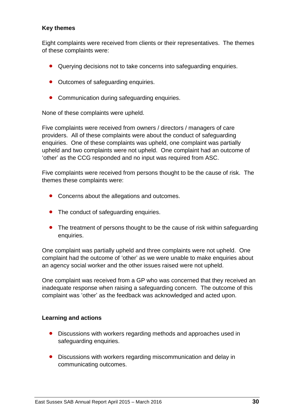#### **Key themes**

Eight complaints were received from clients or their representatives. The themes of these complaints were:

- Querying decisions not to take concerns into safeguarding enquiries.
- Outcomes of safeguarding enquiries.
- Communication during safeguarding enquiries.

None of these complaints were upheld.

Five complaints were received from owners / directors / managers of care providers. All of these complaints were about the conduct of safeguarding enquiries. One of these complaints was upheld, one complaint was partially upheld and two complaints were not upheld. One complaint had an outcome of 'other' as the CCG responded and no input was required from ASC.

Five complaints were received from persons thought to be the cause of risk. The themes these complaints were:

- Concerns about the allegations and outcomes.
- The conduct of safeguarding enquiries.
- The treatment of persons thought to be the cause of risk within safeguarding enquiries.

One complaint was partially upheld and three complaints were not upheld. One complaint had the outcome of 'other' as we were unable to make enquiries about an agency social worker and the other issues raised were not upheld.

One complaint was received from a GP who was concerned that they received an inadequate response when raising a safeguarding concern. The outcome of this complaint was 'other' as the feedback was acknowledged and acted upon.

#### **Learning and actions**

- Discussions with workers regarding methods and approaches used in safeguarding enquiries.
- Discussions with workers regarding miscommunication and delay in communicating outcomes.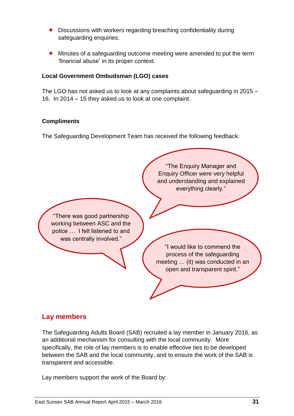- Discussions with workers regarding breaching confidentiality during safeguarding enquiries.
- Minutes of a safeguarding outcome meeting were amended to put the term 'financial abuse' in its proper context.

#### **Local Government Ombudsman (LGO) cases**

The LGO has not asked us to look at any complaints about safeguarding in 2015 – 16. In 2014 – 15 they asked us to look at one complaint.

#### **Compliments**

The Safeguarding Development Team has received the following feedback:



### **Lay members**

The Safeguarding Adults Board (SAB) recruited a lay member in January 2016, as an additional mechanism for consulting with the local community. More specifically, the role of lay members is to enable effective ties to be developed between the SAB and the local community, and to ensure the work of the SAB is transparent and accessible.

Lay members support the work of the Board by: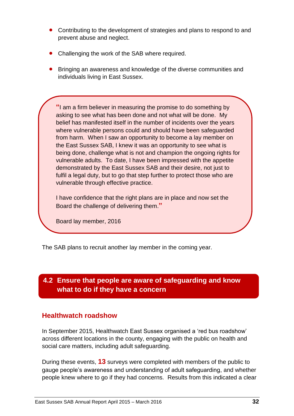- Contributing to the development of strategies and plans to respond to and prevent abuse and neglect.
- Challenging the work of the SAB where required.
- Bringing an awareness and knowledge of the diverse communities and individuals living in East Sussex.

**"**I am a firm believer in measuring the promise to do something by asking to see what has been done and not what will be done. My belief has manifested itself in the number of incidents over the years where vulnerable persons could and should have been safeguarded from harm. When I saw an opportunity to become a lay member on the East Sussex SAB, I knew it was an opportunity to see what is being done, challenge what is not and champion the ongoing rights for vulnerable adults. To date, I have been impressed with the appetite demonstrated by the East Sussex SAB and their desire, not just to fulfil a legal duty, but to go that step further to protect those who are vulnerable through effective practice.

I have confidence that the right plans are in place and now set the Board the challenge of delivering them.**"**

Board lay member, 2016

The SAB plans to recruit another lay member in the coming year.

### **4.2 Ensure that people are aware of safeguarding and know what to do if they have a concern**

#### **Healthwatch roadshow**

In September 2015, Healthwatch East Sussex organised a 'red bus roadshow' across different locations in the county, engaging with the public on health and social care matters, including adult safeguarding.

During these events, **13** surveys were completed with members of the public to gauge people's awareness and understanding of adult safeguarding, and whether people knew where to go if they had concerns. Results from this indicated a clear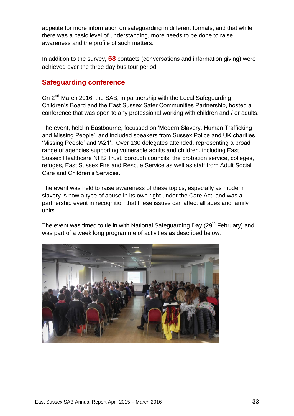appetite for more information on safeguarding in different formats, and that while there was a basic level of understanding, more needs to be done to raise awareness and the profile of such matters.

In addition to the survey, **58** contacts (conversations and information giving) were achieved over the three day bus tour period.

### **Safeguarding conference**

On 2<sup>nd</sup> March 2016, the SAB, in partnership with the Local Safeguarding Children's Board and the East Sussex Safer Communities Partnership, hosted a conference that was open to any professional working with children and / or adults.

The event, held in Eastbourne, focussed on 'Modern Slavery, Human Trafficking and Missing People', and included speakers from Sussex Police and UK charities 'Missing People' and 'A21'. Over 130 delegates attended, representing a broad range of agencies supporting vulnerable adults and children, including East Sussex Healthcare NHS Trust, borough councils, the probation service, colleges, refuges, East Sussex Fire and Rescue Service as well as staff from Adult Social Care and Children's Services.

The event was held to raise awareness of these topics, especially as modern slavery is now a type of abuse in its own right under the Care Act, and was a partnership event in recognition that these issues can affect all ages and family units.

The event was timed to tie in with National Safeguarding Day (29<sup>th</sup> February) and was part of a week long programme of activities as described below.

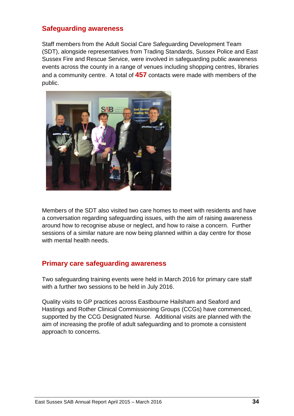#### **Safeguarding awareness**

Staff members from the Adult Social Care Safeguarding Development Team (SDT), alongside representatives from Trading Standards, Sussex Police and East Sussex Fire and Rescue Service, were involved in safeguarding public awareness events across the county in a range of venues including shopping centres, libraries and a community centre. A total of **457** contacts were made with members of the public.



Members of the SDT also visited two care homes to meet with residents and have a conversation regarding safeguarding issues, with the aim of raising awareness around how to recognise abuse or neglect, and how to raise a concern. Further sessions of a similar nature are now being planned within a day centre for those with mental health needs.

#### **Primary care safeguarding awareness**

Two safeguarding training events were held in March 2016 for primary care staff with a further two sessions to be held in July 2016.

Quality visits to GP practices across Eastbourne Hailsham and Seaford and Hastings and Rother Clinical Commissioning Groups (CCGs) have commenced, supported by the CCG Designated Nurse. Additional visits are planned with the aim of increasing the profile of adult safeguarding and to promote a consistent approach to concerns.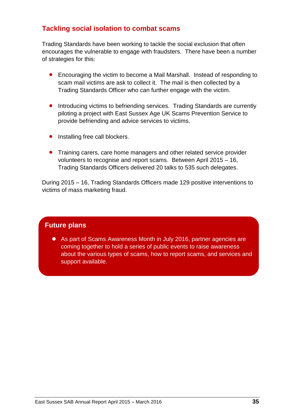### **Tackling social isolation to combat scams**

Trading Standards have been working to tackle the social exclusion that often encourages the vulnerable to engage with fraudsters. There have been a number of strategies for this:

- Encouraging the victim to become a Mail Marshall. Instead of responding to scam mail victims are ask to collect it. The mail is then collected by a Trading Standards Officer who can further engage with the victim.
- **•** Introducing victims to befriending services. Trading Standards are currently piloting a project with East Sussex Age UK Scams Prevention Service to provide befriending and advice services to victims.
- Installing free call blockers.
- **•** Training carers, care home managers and other related service provider volunteers to recognise and report scams. Between April 2015 – 16, Trading Standards Officers delivered 20 talks to 535 such delegates.

During 2015 – 16, Trading Standards Officers made 129 positive interventions to victims of mass marketing fraud.

### **Future plans**

 As part of Scams Awareness Month in July 2016, partner agencies are coming together to hold a series of public events to raise awareness about the various types of scams, how to report scams, and services and support available.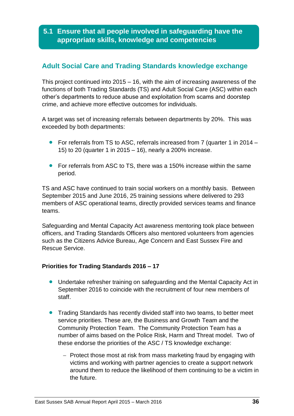### **5.1 Ensure that all people involved in safeguarding have the appropriate skills, knowledge and competencies**

### **Adult Social Care and Trading Standards knowledge exchange**

This project continued into 2015 – 16, with the aim of increasing awareness of the functions of both Trading Standards (TS) and Adult Social Care (ASC) within each other's departments to reduce abuse and exploitation from scams and doorstep crime, and achieve more effective outcomes for individuals.

A target was set of increasing referrals between departments by 20%. This was exceeded by both departments:

- For referrals from TS to ASC, referrals increased from 7 (quarter 1 in 2014 15) to 20 (quarter 1 in 2015 – 16), nearly a 200% increase.
- **•** For referrals from ASC to TS, there was a 150% increase within the same period.

TS and ASC have continued to train social workers on a monthly basis. Between September 2015 and June 2016, 25 training sessions where delivered to 293 members of ASC operational teams, directly provided services teams and finance teams.

Safeguarding and Mental Capacity Act awareness mentoring took place between officers, and Trading Standards Officers also mentored volunteers from agencies such as the Citizens Advice Bureau, Age Concern and East Sussex Fire and Rescue Service.

#### **Priorities for Trading Standards 2016 – 17**

- Undertake refresher training on safeguarding and the Mental Capacity Act in September 2016 to coincide with the recruitment of four new members of staff.
- Trading Standards has recently divided staff into two teams, to better meet service priorities. These are, the Business and Growth Team and the Community Protection Team. The Community Protection Team has a number of aims based on the Police Risk, Harm and Threat model. Two of these endorse the priorities of the ASC / TS knowledge exchange:
	- Protect those most at risk from mass marketing fraud by engaging with victims and working with partner agencies to create a support network around them to reduce the likelihood of them continuing to be a victim in the future.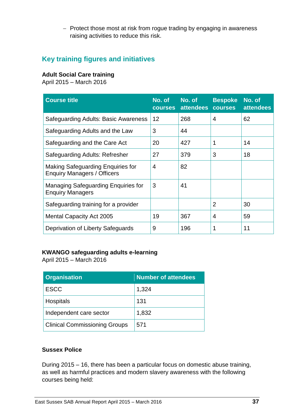- Protect those most at risk from rogue trading by engaging in awareness raising activities to reduce this risk.

### **Key training figures and initiatives**

#### **Adult Social Care training**

April 2015 – March 2016

| <b>Course title</b>                                                            | No. of<br><b>courses</b> | No. of<br>attendees | <b>Bespoke</b><br><b>courses</b> | No. of<br><b>attendees</b> |
|--------------------------------------------------------------------------------|--------------------------|---------------------|----------------------------------|----------------------------|
| Safeguarding Adults: Basic Awareness                                           | 12                       | 268                 | 4                                | 62                         |
| Safeguarding Adults and the Law                                                | 3                        | 44                  |                                  |                            |
| Safeguarding and the Care Act                                                  | 20                       | 427                 | 1                                | 14                         |
| Safeguarding Adults: Refresher                                                 | 27                       | 379                 | 3                                | 18                         |
| <b>Making Safeguarding Enquiries for</b><br><b>Enquiry Managers / Officers</b> | 4                        | 82                  |                                  |                            |
| <b>Managing Safeguarding Enquiries for</b><br><b>Enquiry Managers</b>          | 3                        | 41                  |                                  |                            |
| Safequarding training for a provider                                           |                          |                     | $\overline{2}$                   | 30                         |
| <b>Mental Capacity Act 2005</b>                                                | 19                       | 367                 | $\overline{4}$                   | 59                         |
| Deprivation of Liberty Safeguards                                              | 9                        | 196                 | 1                                | 11                         |

#### **KWANGO safeguarding adults e-learning**

April 2015 – March 2016

| <b>Organisation</b>                  | <b>Number of attendees</b> |
|--------------------------------------|----------------------------|
| <b>ESCC</b>                          | 1,324                      |
| <b>Hospitals</b>                     | 131                        |
| Independent care sector              | 1,832                      |
| <b>Clinical Commissioning Groups</b> | 571                        |

#### **Sussex Police**

During 2015 – 16, there has been a particular focus on domestic abuse training, as well as harmful practices and modern slavery awareness with the following courses being held: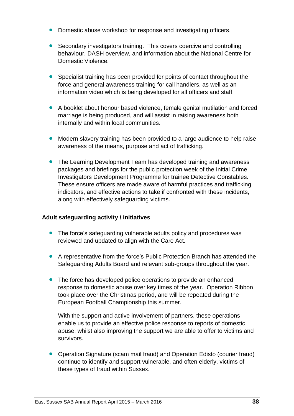- Domestic abuse workshop for response and investigating officers.
- Secondary investigators training. This covers coercive and controlling behaviour, DASH overview, and information about the National Centre for Domestic Violence.
- Specialist training has been provided for points of contact throughout the force and general awareness training for call handlers, as well as an information video which is being developed for all officers and staff.
- A booklet about honour based violence, female genital mutilation and forced marriage is being produced, and will assist in raising awareness both internally and within local communities.
- Modern slavery training has been provided to a large audience to help raise awareness of the means, purpose and act of trafficking.
- **•** The Learning Development Team has developed training and awareness packages and briefings for the public protection week of the Initial Crime Investigators Development Programme for trainee Detective Constables. These ensure officers are made aware of harmful practices and trafficking indicators, and effective actions to take if confronted with these incidents, along with effectively safeguarding victims.

#### **Adult safeguarding activity / initiatives**

- The force's safeguarding vulnerable adults policy and procedures was reviewed and updated to align with the Care Act.
- A representative from the force's Public Protection Branch has attended the Safeguarding Adults Board and relevant sub-groups throughout the year.
- The force has developed police operations to provide an enhanced response to domestic abuse over key times of the year. Operation Ribbon took place over the Christmas period, and will be repeated during the European Football Championship this summer.

With the support and active involvement of partners, these operations enable us to provide an effective police response to reports of domestic abuse, whilst also improving the support we are able to offer to victims and survivors.

• Operation Signature (scam mail fraud) and Operation Edisto (courier fraud) continue to identify and support vulnerable, and often elderly, victims of these types of fraud within Sussex.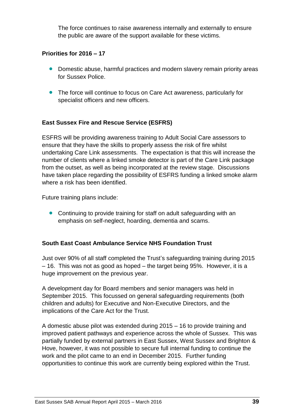The force continues to raise awareness internally and externally to ensure the public are aware of the support available for these victims.

#### **Priorities for 2016 – 17**

- Domestic abuse, harmful practices and modern slavery remain priority areas for Sussex Police.
- The force will continue to focus on Care Act awareness, particularly for specialist officers and new officers.

#### **East Sussex Fire and Rescue Service (ESFRS)**

ESFRS will be providing awareness training to Adult Social Care assessors to ensure that they have the skills to properly assess the risk of fire whilst undertaking Care Link assessments. The expectation is that this will increase the number of clients where a linked smoke detector is part of the Care Link package from the outset, as well as being incorporated at the review stage. Discussions have taken place regarding the possibility of ESFRS funding a linked smoke alarm where a risk has been identified.

Future training plans include:

• Continuing to provide training for staff on adult safeguarding with an emphasis on self-neglect, hoarding, dementia and scams.

#### **South East Coast Ambulance Service NHS Foundation Trust**

Just over 90% of all staff completed the Trust's safeguarding training during 2015 – 16. This was not as good as hoped – the target being 95%. However, it is a huge improvement on the previous year.

A development day for Board members and senior managers was held in September 2015. This focussed on general safeguarding requirements (both children and adults) for Executive and Non-Executive Directors, and the implications of the Care Act for the Trust.

A domestic abuse pilot was extended during 2015 – 16 to provide training and improved patient pathways and experience across the whole of Sussex. This was partially funded by external partners in East Sussex, West Sussex and Brighton & Hove, however, it was not possible to secure full internal funding to continue the work and the pilot came to an end in December 2015. Further funding opportunities to continue this work are currently being explored within the Trust.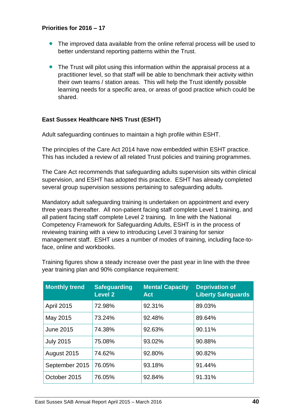#### **Priorities for 2016 – 17**

- The improved data available from the online referral process will be used to better understand reporting patterns within the Trust.
- The Trust will pilot using this information within the appraisal process at a practitioner level, so that staff will be able to benchmark their activity within their own teams / station areas. This will help the Trust identify possible learning needs for a specific area, or areas of good practice which could be shared.

#### **East Sussex Healthcare NHS Trust (ESHT)**

Adult safeguarding continues to maintain a high profile within ESHT.

The principles of the Care Act 2014 have now embedded within ESHT practice. This has included a review of all related Trust policies and training programmes.

The Care Act recommends that safeguarding adults supervision sits within clinical supervision, and ESHT has adopted this practice. ESHT has already completed several group supervision sessions pertaining to safeguarding adults.

Mandatory adult safeguarding training is undertaken on appointment and every three years thereafter. All non-patient facing staff complete Level 1 training, and all patient facing staff complete Level 2 training. In line with the National Competency Framework for Safeguarding Adults, ESHT is in the process of reviewing training with a view to introducing Level 3 training for senior management staff. ESHT uses a number of modes of training, including face-toface, online and workbooks.

| <b>Monthly trend</b> | <b>Safeguarding</b><br><b>Level 2</b> | <b>Mental Capacity</b><br><b>Act</b> | <b>Deprivation of</b><br><b>Liberty Safeguards</b> |
|----------------------|---------------------------------------|--------------------------------------|----------------------------------------------------|
| <b>April 2015</b>    | 72.98%                                | 92.31%                               | 89.03%                                             |
| May 2015             | 73.24%                                | 92.48%                               | 89.64%                                             |
| <b>June 2015</b>     | 74.38%                                | 92.63%                               | 90.11%                                             |
| <b>July 2015</b>     | 75.08%                                | 93.02%                               | 90.88%                                             |
| August 2015          | 74.62%                                | 92.80%                               | 90.82%                                             |
| September 2015       | 76.05%                                | 93.18%                               | 91.44%                                             |
| October 2015         | 76.05%                                | 92.84%                               | 91.31%                                             |

Training figures show a steady increase over the past year in line with the three year training plan and 90% compliance requirement: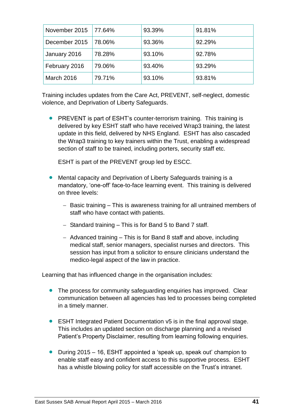| November 2015 | 77.64% | 93.39% | 91.81% |
|---------------|--------|--------|--------|
| December 2015 | 78.06% | 93.36% | 92.29% |
| January 2016  | 78.28% | 93.10% | 92.78% |
| February 2016 | 79.06% | 93.40% | 93.29% |
| March 2016    | 79.71% | 93.10% | 93.81% |

Training includes updates from the Care Act, PREVENT, self-neglect, domestic violence, and Deprivation of Liberty Safeguards.

• PREVENT is part of ESHT's counter-terrorism training. This training is delivered by key ESHT staff who have received Wrap3 training, the latest update in this field, delivered by NHS England. ESHT has also cascaded the Wrap3 training to key trainers within the Trust, enabling a widespread section of staff to be trained, including porters, security staff etc.

ESHT is part of the PREVENT group led by ESCC.

- Mental capacity and Deprivation of Liberty Safeguards training is a mandatory, 'one-off' face-to-face learning event. This training is delivered on three levels:
	- Basic training This is awareness training for all untrained members of staff who have contact with patients.
	- $-$  Standard training  $-$  This is for Band 5 to Band 7 staff.
	- $-$  Advanced training  $-$  This is for Band 8 staff and above, including medical staff, senior managers, specialist nurses and directors. This session has input from a solicitor to ensure clinicians understand the medico-legal aspect of the law in practice.

Learning that has influenced change in the organisation includes:

- The process for community safeguarding enquiries has improved. Clear communication between all agencies has led to processes being completed in a timely manner.
- ESHT Integrated Patient Documentation v5 is in the final approval stage. This includes an updated section on discharge planning and a revised Patient's Property Disclaimer, resulting from learning following enquiries.
- During 2015 16, ESHT appointed a 'speak up, speak out' champion to enable staff easy and confident access to this supportive process. ESHT has a whistle blowing policy for staff accessible on the Trust's intranet.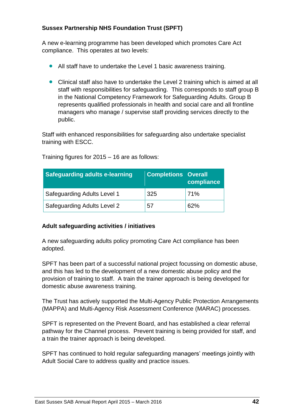#### **Sussex Partnership NHS Foundation Trust (SPFT)**

A new e-learning programme has been developed which promotes Care Act compliance. This operates at two levels:

- All staff have to undertake the Level 1 basic awareness training.
- Clinical staff also have to undertake the Level 2 training which is aimed at all staff with responsibilities for safeguarding. This corresponds to staff group B in the National Competency Framework for Safeguarding Adults. Group B represents qualified professionals in health and social care and all frontline managers who manage / supervise staff providing services directly to the public.

Staff with enhanced responsibilities for safeguarding also undertake specialist training with ESCC.

| <b>Safeguarding adults e-learning</b> | <b>Completions Overall</b> | compliance |
|---------------------------------------|----------------------------|------------|
| Safeguarding Adults Level 1           | 325                        | 71%        |
| <b>Safeguarding Adults Level 2</b>    | 57                         | 62%        |

Training figures for 2015 – 16 are as follows:

#### **Adult safeguarding activities / initiatives**

A new safeguarding adults policy promoting Care Act compliance has been adopted.

SPFT has been part of a successful national project focussing on domestic abuse, and this has led to the development of a new domestic abuse policy and the provision of training to staff. A train the trainer approach is being developed for domestic abuse awareness training.

The Trust has actively supported the Multi-Agency Public Protection Arrangements (MAPPA) and Multi-Agency Risk Assessment Conference (MARAC) processes.

SPFT is represented on the Prevent Board, and has established a clear referral pathway for the Channel process. Prevent training is being provided for staff, and a train the trainer approach is being developed.

SPFT has continued to hold regular safeguarding managers' meetings jointly with Adult Social Care to address quality and practice issues.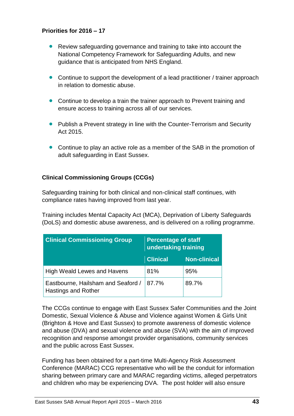#### **Priorities for 2016 – 17**

- Review safeguarding governance and training to take into account the National Competency Framework for Safeguarding Adults, and new guidance that is anticipated from NHS England.
- Continue to support the development of a lead practitioner / trainer approach in relation to domestic abuse.
- Continue to develop a train the trainer approach to Prevent training and ensure access to training across all of our services.
- Publish a Prevent strategy in line with the Counter-Terrorism and Security Act 2015.
- Continue to play an active role as a member of the SAB in the promotion of adult safeguarding in East Sussex.

#### **Clinical Commissioning Groups (CCGs)**

Safeguarding training for both clinical and non-clinical staff continues, with compliance rates having improved from last year.

Training includes Mental Capacity Act (MCA), Deprivation of Liberty Safeguards (DoLS) and domestic abuse awareness, and is delivered on a rolling programme.

| <b>Clinical Commissioning Group</b>                              | <b>Percentage of staff</b><br>undertaking training |                     |
|------------------------------------------------------------------|----------------------------------------------------|---------------------|
|                                                                  | <b>Clinical</b>                                    | <b>Non-clinical</b> |
| <b>High Weald Lewes and Havens</b>                               | 81%                                                | 95%                 |
| Eastbourne, Hailsham and Seaford /<br><b>Hastings and Rother</b> | 87.7%                                              | 89.7%               |

The CCGs continue to engage with East Sussex Safer Communities and the Joint Domestic, Sexual Violence & Abuse and Violence against Women & Girls Unit (Brighton & Hove and East Sussex) to promote awareness of domestic violence and abuse (DVA) and sexual violence and abuse (SVA) with the aim of improved recognition and response amongst provider organisations, community services and the public across East Sussex.

Funding has been obtained for a part-time Multi-Agency Risk Assessment Conference (MARAC) CCG representative who will be the conduit for information sharing between primary care and MARAC regarding victims, alleged perpetrators and children who may be experiencing DVA. The post holder will also ensure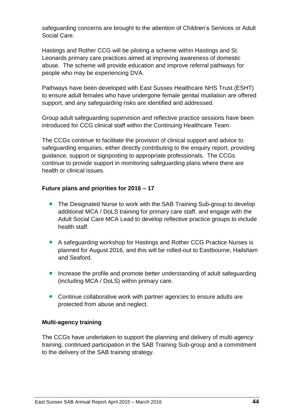safeguarding concerns are brought to the attention of Children's Services or Adult Social Care.

Hastings and Rother CCG will be piloting a scheme within Hastings and St. Leonards primary care practices aimed at improving awareness of domestic abuse. The scheme will provide education and improve referral pathways for people who may be experiencing DVA.

Pathways have been developed with East Sussex Healthcare NHS Trust (ESHT) to ensure adult females who have undergone female genital mutilation are offered support, and any safeguarding risks are identified and addressed.

Group adult safeguarding supervision and reflective practice sessions have been introduced for CCG clinical staff within the Continuing Healthcare Team.

The CCGs continue to facilitate the provision of clinical support and advice to safeguarding enquiries, either directly contributing to the enquiry report, providing guidance, support or signposting to appropriate professionals. The CCGs continue to provide support in monitoring safeguarding plans where there are health or clinical issues.

#### **Future plans and priorities for 2016 – 17**

- The Designated Nurse to work with the SAB Training Sub-group to develop additional MCA / DoLS training for primary care staff, and engage with the Adult Social Care MCA Lead to develop reflective practice groups to include health staff.
- A safeguarding workshop for Hastings and Rother CCG Practice Nurses is planned for August 2016, and this will be rolled-out to Eastbourne, Hailsham and Seaford.
- Increase the profile and promote better understanding of adult safeguarding (including MCA / DoLS) within primary care.
- Continue collaborative work with partner agencies to ensure adults are protected from abuse and neglect.

#### **Multi-agency training**

The CCGs have undertaken to support the planning and delivery of multi-agency training, continued participation in the SAB Training Sub-group and a commitment to the delivery of the SAB training strategy.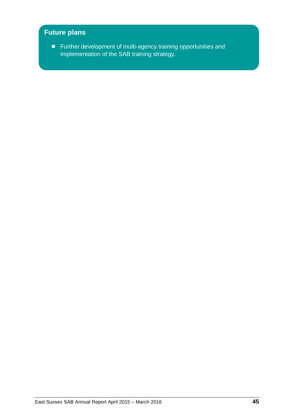### **Future plans**

 Further development of multi-agency training opportunities and implementation of the SAB training strategy.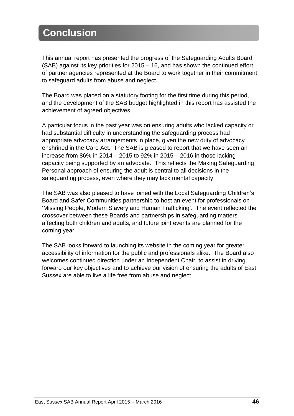# **Conclusion**

This annual report has presented the progress of the Safeguarding Adults Board (SAB) against its key priorities for 2015 – 16, and has shown the continued effort of partner agencies represented at the Board to work together in their commitment to safeguard adults from abuse and neglect.

The Board was placed on a statutory footing for the first time during this period, and the development of the SAB budget highlighted in this report has assisted the achievement of agreed objectives.

A particular focus in the past year was on ensuring adults who lacked capacity or had substantial difficulty in understanding the safeguarding process had appropriate advocacy arrangements in place, given the new duty of advocacy enshrined in the Care Act. The SAB is pleased to report that we have seen an increase from 86% in 2014 – 2015 to 92% in 2015 – 2016 in those lacking capacity being supported by an advocate. This reflects the Making Safeguarding Personal approach of ensuring the adult is central to all decisions in the safeguarding process, even where they may lack mental capacity.

The SAB was also pleased to have joined with the Local Safeguarding Children's Board and Safer Communities partnership to host an event for professionals on 'Missing People, Modern Slavery and Human Trafficking'. The event reflected the crossover between these Boards and partnerships in safeguarding matters affecting both children and adults, and future joint events are planned for the coming year.

The SAB looks forward to launching its website in the coming year for greater accessibility of information for the public and professionals alike. The Board also welcomes continued direction under an Independent Chair, to assist in driving forward our key objectives and to achieve our vision of ensuring the adults of East Sussex are able to live a life free from abuse and neglect.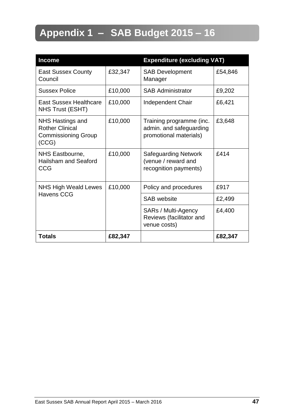# **Appendix 1 – SAB Budget 2015 – 16**

| <b>Income</b>                                                                     |         | <b>Expenditure (excluding VAT)</b>                                            |         |
|-----------------------------------------------------------------------------------|---------|-------------------------------------------------------------------------------|---------|
| <b>East Sussex County</b><br>Council                                              | £32,347 | <b>SAB Development</b><br>Manager                                             | £54,846 |
| <b>Sussex Police</b>                                                              | £10,000 | <b>SAB Administrator</b>                                                      | £9,202  |
| <b>East Sussex Healthcare</b><br>NHS Trust (ESHT)                                 | £10,000 | Independent Chair                                                             | £6,421  |
| NHS Hastings and<br><b>Rother Clinical</b><br><b>Commissioning Group</b><br>(CCG) | £10,000 | Training programme (inc.<br>admin. and safeguarding<br>promotional materials) | £3,648  |
| NHS Eastbourne,<br><b>Hailsham and Seaford</b><br>CCG                             | £10,000 | <b>Safeguarding Network</b><br>(venue / reward and<br>recognition payments)   | £414    |
| <b>NHS High Weald Lewes</b>                                                       | £10,000 | Policy and procedures                                                         | £917    |
| <b>Havens CCG</b>                                                                 |         | <b>SAB</b> website                                                            | £2,499  |
|                                                                                   |         | SARs / Multi-Agency<br>Reviews (facilitator and<br>venue costs)               | £4,400  |
| <b>Totals</b>                                                                     | £82,347 |                                                                               | £82,347 |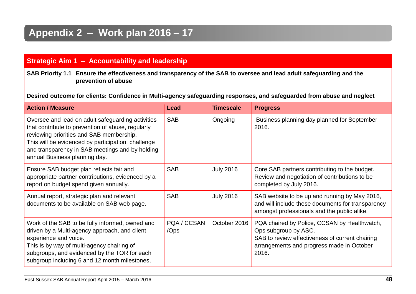# **Appendix 2 – Work plan 2016 – 17**

### **Strategic Aim 1 – Accountability and leadership**

**SAB Priority 1.1 Ensure the effectiveness and transparency of the SAB to oversee and lead adult safeguarding and the prevention of abuse**

**Desired outcome for clients: Confidence in Multi-agency safeguarding responses, and safeguarded from abuse and neglect** 

| <b>Action / Measure</b>                                                                                                                                                                                                                                                                      | Lead                         | <b>Timescale</b> | <b>Progress</b>                                                                                                                                                               |
|----------------------------------------------------------------------------------------------------------------------------------------------------------------------------------------------------------------------------------------------------------------------------------------------|------------------------------|------------------|-------------------------------------------------------------------------------------------------------------------------------------------------------------------------------|
| Oversee and lead on adult safeguarding activities<br>that contribute to prevention of abuse, regularly<br>reviewing priorities and SAB membership.<br>This will be evidenced by participation, challenge<br>and transparency in SAB meetings and by holding<br>annual Business planning day. | <b>SAB</b>                   | Ongoing          | Business planning day planned for September<br>2016.                                                                                                                          |
| Ensure SAB budget plan reflects fair and<br>appropriate partner contributions, evidenced by a<br>report on budget spend given annually.                                                                                                                                                      | <b>SAB</b>                   | <b>July 2016</b> | Core SAB partners contributing to the budget.<br>Review and negotiation of contributions to be<br>completed by July 2016.                                                     |
| Annual report, strategic plan and relevant<br>documents to be available on SAB web page.                                                                                                                                                                                                     | <b>SAB</b>                   | <b>July 2016</b> | SAB website to be up and running by May 2016,<br>and will include these documents for transparency<br>amongst professionals and the public alike.                             |
| Work of the SAB to be fully informed, owned and<br>driven by a Multi-agency approach, and client<br>experience and voice.<br>This is by way of multi-agency chairing of<br>subgroups, and evidenced by the TOR for each<br>subgroup including 6 and 12 month milestones,                     | PQA / CCSAN<br>$\sqrt{O}$ ps | October 2016     | PQA chaired by Police, CCSAN by Healthwatch,<br>Ops subgroup by ASC.<br>SAB to review effectiveness of current chairing<br>arrangements and progress made in October<br>2016. |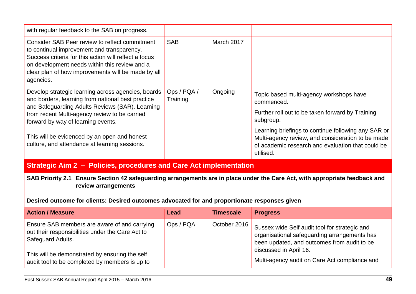| with regular feedback to the SAB on progress.                                                                                                                                                                                                                                                                                                      |                         |            |                                                                                                                                                                                                                                                                                                      |
|----------------------------------------------------------------------------------------------------------------------------------------------------------------------------------------------------------------------------------------------------------------------------------------------------------------------------------------------------|-------------------------|------------|------------------------------------------------------------------------------------------------------------------------------------------------------------------------------------------------------------------------------------------------------------------------------------------------------|
| Consider SAB Peer review to reflect commitment<br>to continual improvement and transparency.<br>Success criteria for this action will reflect a focus<br>on development needs within this review and a<br>clear plan of how improvements will be made by all<br>agencies.                                                                          | <b>SAB</b>              | March 2017 |                                                                                                                                                                                                                                                                                                      |
| Develop strategic learning across agencies, boards<br>and borders, learning from national best practice<br>and Safeguarding Adults Reviews (SAR). Learning<br>from recent Multi-agency review to be carried<br>forward by way of learning events.<br>This will be evidenced by an open and honest<br>culture, and attendance at learning sessions. | Ops / PQA /<br>Training | Ongoing    | Topic based multi-agency workshops have<br>commenced.<br>Further roll out to be taken forward by Training<br>subgroup.<br>Learning briefings to continue following any SAR or<br>Multi-agency review, and consideration to be made<br>of academic research and evaluation that could be<br>utilised. |

#### **Strategic Aim 2 – Policies, procedures and Care Act implementation**

**SAB Priority 2.1 Ensure Section 42 safeguarding arrangements are in place under the Care Act, with appropriate feedback and review arrangements**

**Desired outcome for clients: Desired outcomes advocated for and proportionate responses given**

| <b>Action / Measure</b>                                                                                                                                                                                                   | <b>Lead</b> | <b>Timescale</b> | <b>Progress</b>                                                                                                                                                                                                         |
|---------------------------------------------------------------------------------------------------------------------------------------------------------------------------------------------------------------------------|-------------|------------------|-------------------------------------------------------------------------------------------------------------------------------------------------------------------------------------------------------------------------|
| Ensure SAB members are aware of and carrying<br>out their responsibilities under the Care Act to<br>Safeguard Adults.<br>This will be demonstrated by ensuring the self<br>audit tool to be completed by members is up to | Ops / PQA   | October 2016     | Sussex wide Self audit tool for strategic and<br>organisational safeguarding arrangements has<br>been updated, and outcomes from audit to be<br>discussed in April 16.<br>Multi-agency audit on Care Act compliance and |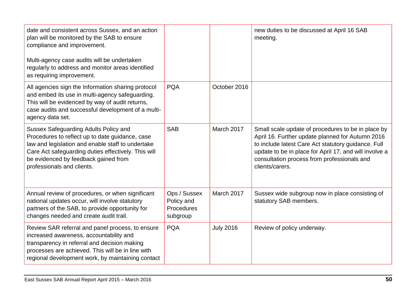| date and consistent across Sussex, and an action<br>plan will be monitored by the SAB to ensure<br>compliance and improvement.<br>Multi-agency case audits will be undertaken<br>regularly to address and monitor areas identified<br>as requiring improvement.            |                                                      |                   | new duties to be discussed at April 16 SAB<br>meeting.                                                                                                                                                                                                                                    |
|----------------------------------------------------------------------------------------------------------------------------------------------------------------------------------------------------------------------------------------------------------------------------|------------------------------------------------------|-------------------|-------------------------------------------------------------------------------------------------------------------------------------------------------------------------------------------------------------------------------------------------------------------------------------------|
| All agencies sign the Information sharing protocol<br>and embed its use in multi-agency safeguarding.<br>This will be evidenced by way of audit returns,<br>case audits and successful development of a multi-<br>agency data set.                                         | <b>PQA</b>                                           | October 2016      |                                                                                                                                                                                                                                                                                           |
| Sussex Safeguarding Adults Policy and<br>Procedures to reflect up to date guidance, case<br>law and legislation and enable staff to undertake<br>Care Act safeguarding duties effectively. This will<br>be evidenced by feedback gained from<br>professionals and clients. | <b>SAB</b>                                           | <b>March 2017</b> | Small scale update of procedures to be in place by<br>April 16. Further update planned for Autumn 2016<br>to include latest Care Act statutory guidance. Full<br>update to be in place for April 17, and will involve a<br>consultation process from professionals and<br>clients/carers. |
| Annual review of procedures, or when significant<br>national updates occur, will involve statutory<br>partners of the SAB, to provide opportunity for<br>changes needed and create audit trail.                                                                            | Ops / Sussex<br>Policy and<br>Procedures<br>subgroup | <b>March 2017</b> | Sussex wide subgroup now in place consisting of<br>statutory SAB members.                                                                                                                                                                                                                 |
| Review SAR referral and panel process, to ensure<br>increased awareness, accountability and<br>transparency in referral and decision making<br>processes are achieved. This will be in line with<br>regional development work, by maintaining contact                      | <b>PQA</b>                                           | <b>July 2016</b>  | Review of policy underway.                                                                                                                                                                                                                                                                |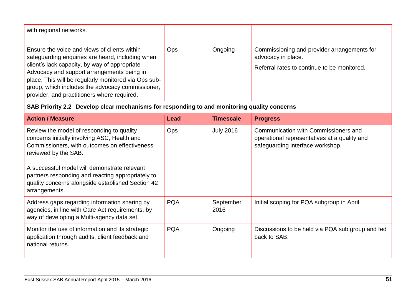| with regional networks.                                                                                                                                                                                                                                                                                                                                    |            |         |                                                                                                                  |
|------------------------------------------------------------------------------------------------------------------------------------------------------------------------------------------------------------------------------------------------------------------------------------------------------------------------------------------------------------|------------|---------|------------------------------------------------------------------------------------------------------------------|
| Ensure the voice and views of clients within<br>safeguarding enquiries are heard, including when<br>client's lack capacity, by way of appropriate<br>Advocacy and support arrangements being in<br>place. This will be regularly monitored via Ops sub-<br>group, which includes the advocacy commissioner,<br>provider, and practitioners where required. | <b>Ops</b> | Ongoing | Commissioning and provider arrangements for<br>advocacy in place.<br>Referral rates to continue to be monitored. |

### **SAB Priority 2.2 Develop clear mechanisms for responding to and monitoring quality concerns**

| <b>Action / Measure</b>                                                                                                                                                 | Lead       | <b>Timescale</b>  | <b>Progress</b>                                                                                                          |
|-------------------------------------------------------------------------------------------------------------------------------------------------------------------------|------------|-------------------|--------------------------------------------------------------------------------------------------------------------------|
| Review the model of responding to quality<br>concerns initially involving ASC, Health and<br>Commissioners, with outcomes on effectiveness<br>reviewed by the SAB.      | <b>Ops</b> | <b>July 2016</b>  | Communication with Commissioners and<br>operational representatives at a quality and<br>safeguarding interface workshop. |
| A successful model will demonstrate relevant<br>partners responding and reacting appropriately to<br>quality concerns alongside established Section 42<br>arrangements. |            |                   |                                                                                                                          |
| Address gaps regarding information sharing by<br>agencies, in line with Care Act requirements, by<br>way of developing a Multi-agency data set.                         | <b>PQA</b> | September<br>2016 | Initial scoping for PQA subgroup in April.                                                                               |
| Monitor the use of information and its strategic<br>application through audits, client feedback and<br>national returns.                                                | <b>PQA</b> | Ongoing           | Discussions to be held via PQA sub group and fed<br>back to SAB.                                                         |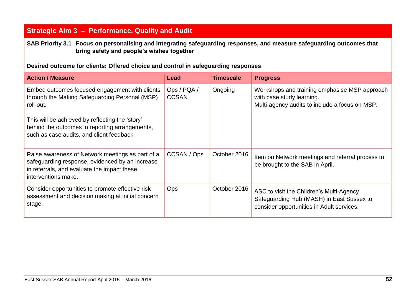### **Strategic Aim 3 – Performance, Quality and Audit**

**SAB Priority 3.1 Focus on personalising and integrating safeguarding responses, and measure safeguarding outcomes that bring safety and people's wishes together**

**Desired outcome for clients: Offered choice and control in safeguarding responses** 

| <b>Action / Measure</b>                                                                                                                                                   | Lead                        | <b>Timescale</b> | <b>Progress</b>                                                                                                                    |
|---------------------------------------------------------------------------------------------------------------------------------------------------------------------------|-----------------------------|------------------|------------------------------------------------------------------------------------------------------------------------------------|
| Embed outcomes focused engagement with clients<br>through the Making Safeguarding Personal (MSP)<br>roll-out.                                                             | Ops / PQA /<br><b>CCSAN</b> | Ongoing          | Workshops and training emphasise MSP approach<br>with case study learning.<br>Multi-agency audits to include a focus on MSP.       |
| This will be achieved by reflecting the 'story'<br>behind the outcomes in reporting arrangements,<br>such as case audits, and client feedback.                            |                             |                  |                                                                                                                                    |
| Raise awareness of Network meetings as part of a<br>safeguarding response, evidenced by an increase<br>in referrals, and evaluate the impact these<br>interventions make. | CCSAN / Ops                 | October 2016     | Item on Network meetings and referral process to<br>be brought to the SAB in April.                                                |
| Consider opportunities to promote effective risk<br>assessment and decision making at initial concern<br>stage.                                                           | <b>Ops</b>                  | October 2016     | ASC to visit the Children's Multi-Agency<br>Safeguarding Hub (MASH) in East Sussex to<br>consider opportunities in Adult services. |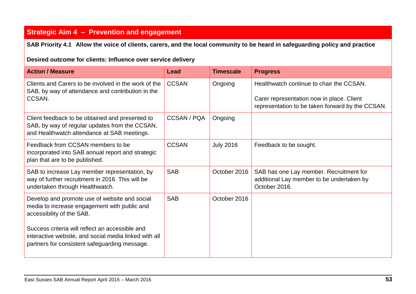### **Strategic Aim 4 – Prevention and engagement**

**SAB Priority 4.1 Allow the voice of clients, carers, and the local community to be heard in safeguarding policy and practice**

#### **Desired outcome for clients: Influence over service delivery**

| <b>Action / Measure</b>                                                                                                                                   | Lead         | <b>Timescale</b> | <b>Progress</b>                                                                                                                           |
|-----------------------------------------------------------------------------------------------------------------------------------------------------------|--------------|------------------|-------------------------------------------------------------------------------------------------------------------------------------------|
| Clients and Carers to be involved in the work of the<br>SAB, by way of attendance and contribution in the<br>CCSAN.                                       | <b>CCSAN</b> | Ongoing          | Healthwatch continue to chair the CCSAN.<br>Carer representation now in place. Client<br>representation to be taken forward by the CCSAN. |
| Client feedback to be obtained and presented to<br>SAB, by way of regular updates from the CCSAN,<br>and Healthwatch attendance at SAB meetings.          | CCSAN / PQA  | Ongoing          |                                                                                                                                           |
| Feedback from CCSAN members to be<br>incorporated into SAB annual report and strategic<br>plan that are to be published.                                  | <b>CCSAN</b> | <b>July 2016</b> | Feedback to be sought.                                                                                                                    |
| SAB to increase Lay member representation, by<br>way of further recruitment in 2016. This will be<br>undertaken through Healthwatch.                      | <b>SAB</b>   | October 2016     | SAB has one Lay member. Recruitment for<br>additional Lay member to be undertaken by<br>October 2016.                                     |
| Develop and promote use of website and social<br>media to increase engagement with public and<br>accessibility of the SAB.                                | <b>SAB</b>   | October 2016     |                                                                                                                                           |
| Success criteria will reflect an accessible and<br>interactive website, and social media linked with all<br>partners for consistent safeguarding message. |              |                  |                                                                                                                                           |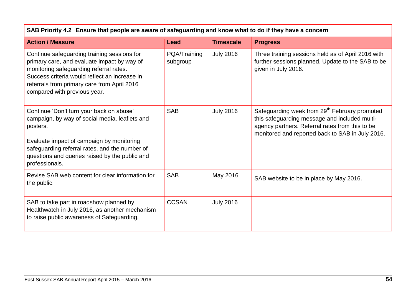| SAB Priority 4.2 Ensure that people are aware of safeguarding and know what to do if they have a concern                                                                                                                                                                  |                          |                  |                                                                                                                                                                                                                   |  |  |  |
|---------------------------------------------------------------------------------------------------------------------------------------------------------------------------------------------------------------------------------------------------------------------------|--------------------------|------------------|-------------------------------------------------------------------------------------------------------------------------------------------------------------------------------------------------------------------|--|--|--|
| <b>Action / Measure</b>                                                                                                                                                                                                                                                   | Lead                     | <b>Timescale</b> | <b>Progress</b>                                                                                                                                                                                                   |  |  |  |
| Continue safeguarding training sessions for<br>primary care, and evaluate impact by way of<br>monitoring safeguarding referral rates.<br>Success criteria would reflect an increase in<br>referrals from primary care from April 2016<br>compared with previous year.     | PQA/Training<br>subgroup | <b>July 2016</b> | Three training sessions held as of April 2016 with<br>further sessions planned. Update to the SAB to be<br>given in July 2016.                                                                                    |  |  |  |
| Continue 'Don't turn your back on abuse'<br>campaign, by way of social media, leaflets and<br>posters.<br>Evaluate impact of campaign by monitoring<br>safeguarding referral rates, and the number of<br>questions and queries raised by the public and<br>professionals. | <b>SAB</b>               | <b>July 2016</b> | Safeguarding week from 29 <sup>th</sup> February promoted<br>this safeguarding message and included multi-<br>agency partners. Referral rates from this to be<br>monitored and reported back to SAB in July 2016. |  |  |  |
| Revise SAB web content for clear information for<br>the public.                                                                                                                                                                                                           | <b>SAB</b>               | May 2016         | SAB website to be in place by May 2016.                                                                                                                                                                           |  |  |  |
| SAB to take part in roadshow planned by<br>Healthwatch in July 2016, as another mechanism<br>to raise public awareness of Safeguarding.                                                                                                                                   | <b>CCSAN</b>             | <b>July 2016</b> |                                                                                                                                                                                                                   |  |  |  |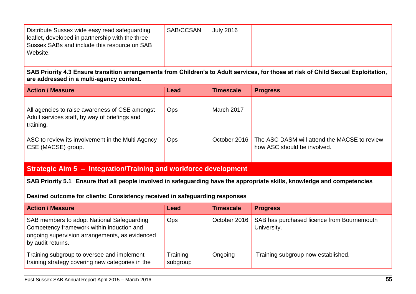| Distribute Sussex wide easy read safeguarding<br>leaflet, developed in partnership with the three<br>Sussex SABs and include this resource on SAB<br>Website. | SAB/CCSAN | <b>July 2016</b> |  |
|---------------------------------------------------------------------------------------------------------------------------------------------------------------|-----------|------------------|--|
|                                                                                                                                                               |           |                  |  |

**SAB Priority 4.3 Ensure transition arrangements from Children's to Adult services, for those at risk of Child Sexual Exploitation, are addressed in a multi-agency context.** 

| <b>Action / Measure</b>                                                                                      | Lead       | <b>Timescale</b> | <b>Progress</b>                                                             |
|--------------------------------------------------------------------------------------------------------------|------------|------------------|-----------------------------------------------------------------------------|
| All agencies to raise awareness of CSE amongst<br>Adult services staff, by way of briefings and<br>training. | <b>Ops</b> | March 2017       |                                                                             |
| ASC to review its involvement in the Multi Agency<br>CSE (MACSE) group.                                      | <b>Ops</b> | October 2016     | The ASC DASM will attend the MACSE to review<br>how ASC should be involved. |

### **Strategic Aim 5 – Integration/Training and workforce development**

**SAB Priority 5.1 Ensure that all people involved in safeguarding have the appropriate skills, knowledge and competencies** 

**Desired outcome for clients: Consistency received in safeguarding responses** 

| <b>Action / Measure</b>                                                                                                                                        | <b>Lead</b>          | <b>Timescale</b> | <b>Progress</b>                                           |
|----------------------------------------------------------------------------------------------------------------------------------------------------------------|----------------------|------------------|-----------------------------------------------------------|
| SAB members to adopt National Safeguarding<br>Competency framework within induction and<br>ongoing supervision arrangements, as evidenced<br>by audit returns. | <b>Ops</b>           | October 2016     | SAB has purchased licence from Bournemouth<br>University. |
| Training subgroup to oversee and implement<br>training strategy covering new categories in the                                                                 | Training<br>subgroup | Ongoing          | Training subgroup now established.                        |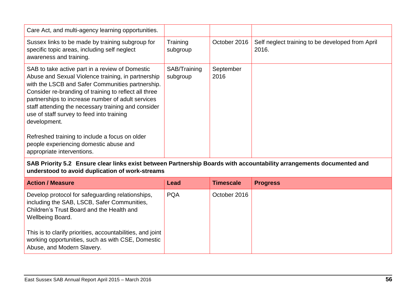| Care Act, and multi-agency learning opportunities.                                                                                                                                                                                                                                                                                                                                          |                          |                   |                                                           |
|---------------------------------------------------------------------------------------------------------------------------------------------------------------------------------------------------------------------------------------------------------------------------------------------------------------------------------------------------------------------------------------------|--------------------------|-------------------|-----------------------------------------------------------|
| Sussex links to be made by training subgroup for<br>specific topic areas, including self neglect<br>awareness and training.                                                                                                                                                                                                                                                                 | Training<br>subgroup     | October 2016      | Self neglect training to be developed from April<br>2016. |
| SAB to take active part in a review of Domestic<br>Abuse and Sexual Violence training, in partnership<br>with the LSCB and Safer Communities partnership.<br>Consider re-branding of training to reflect all three<br>partnerships to increase number of adult services<br>staff attending the necessary training and consider<br>use of staff survey to feed into training<br>development. | SAB/Training<br>subgroup | September<br>2016 |                                                           |
| Refreshed training to include a focus on older<br>people experiencing domestic abuse and<br>appropriate interventions.                                                                                                                                                                                                                                                                      |                          |                   |                                                           |

#### **SAB Priority 5.2 Ensure clear links exist between Partnership Boards with accountability arrangements documented and understood to avoid duplication of work-streams**

| <b>Action / Measure</b>                                                                                                                                                 | <b>Lead</b> | <b>Timescale</b> | <b>Progress</b> |
|-------------------------------------------------------------------------------------------------------------------------------------------------------------------------|-------------|------------------|-----------------|
| Develop protocol for safeguarding relationships,<br>including the SAB, LSCB, Safer Communities,<br>Children's Trust Board and the Health and<br><b>Wellbeing Board.</b> | <b>PQA</b>  | October 2016     |                 |
| This is to clarify priorities, accountabilities, and joint<br>working opportunities, such as with CSE, Domestic<br>Abuse, and Modern Slavery.                           |             |                  |                 |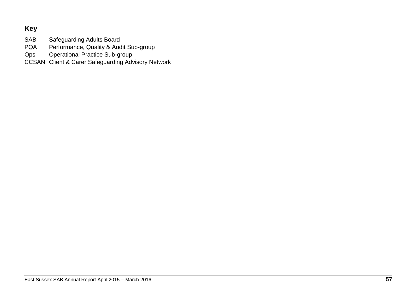### **Key**

SAB Safeguarding Adults Board<br>PQA Performance, Quality & Auc

Performance, Quality & Audit Sub-group

Ops Operational Practice Sub-group

CCSAN Client & Carer Safeguarding Advisory Network